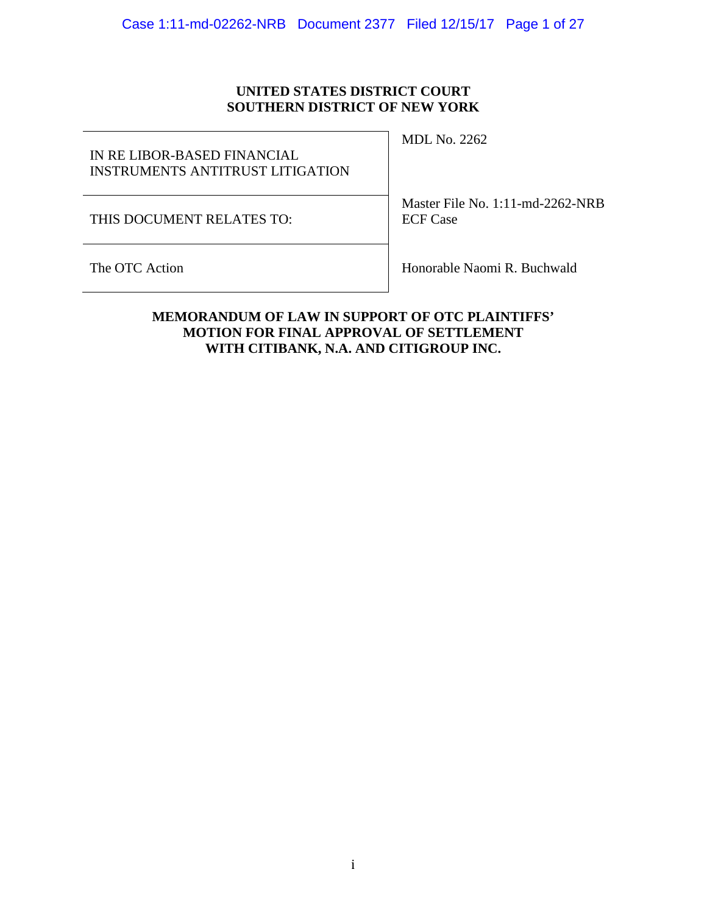# **UNITED STATES DISTRICT COURT SOUTHERN DISTRICT OF NEW YORK**

IN RE LIBOR-BASED FINANCIAL INSTRUMENTS ANTITRUST LITIGATION

THIS DOCUMENT RELATES TO:

MDL No. 2262

Master File No. 1:11-md-2262-NRB ECF Case

The OTC Action **Honorable Naomi R. Buchwald** 

# **MEMORANDUM OF LAW IN SUPPORT OF OTC PLAINTIFFS' MOTION FOR FINAL APPROVAL OF SETTLEMENT WITH CITIBANK, N.A. AND CITIGROUP INC.**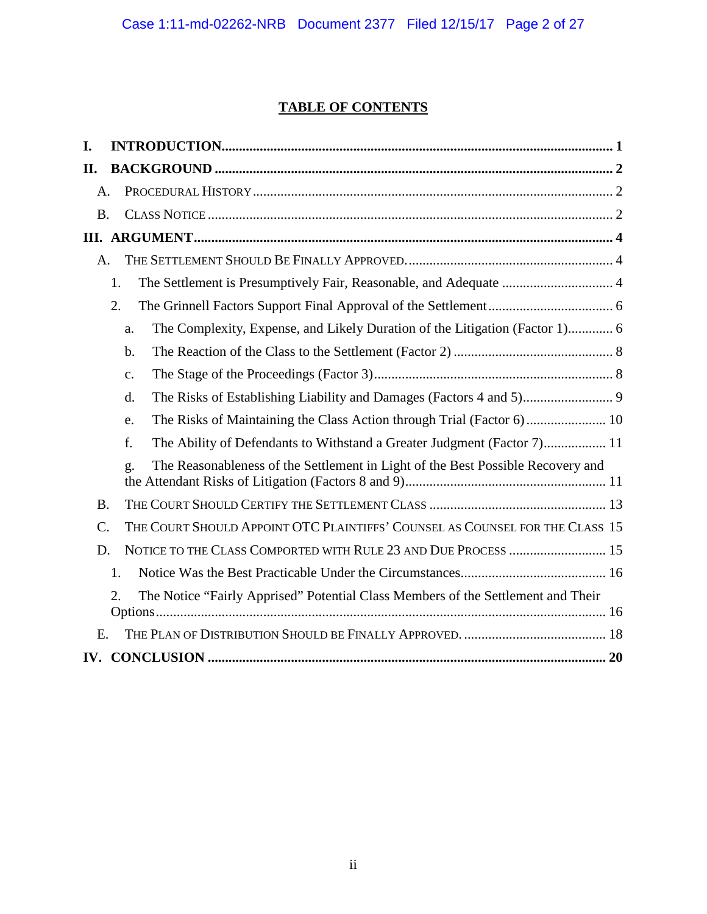# **TABLE OF CONTENTS**

| I.              |    |                                                                                       |  |
|-----------------|----|---------------------------------------------------------------------------------------|--|
| II.             |    |                                                                                       |  |
| $\mathsf{A}$ .  |    |                                                                                       |  |
| <b>B.</b>       |    |                                                                                       |  |
|                 |    |                                                                                       |  |
| $A_{\cdot}$     |    |                                                                                       |  |
|                 | 1. | The Settlement is Presumptively Fair, Reasonable, and Adequate  4                     |  |
|                 | 2. |                                                                                       |  |
|                 |    | The Complexity, Expense, and Likely Duration of the Litigation (Factor 1) 6<br>a.     |  |
|                 |    | $\mathbf b$ .                                                                         |  |
|                 |    | c.                                                                                    |  |
|                 |    | $\mathbf{d}$ .                                                                        |  |
|                 |    | e.                                                                                    |  |
|                 |    | f.<br>The Ability of Defendants to Withstand a Greater Judgment (Factor 7) 11         |  |
|                 |    | The Reasonableness of the Settlement in Light of the Best Possible Recovery and<br>g. |  |
| <b>B.</b>       |    |                                                                                       |  |
| $\mathcal{C}$ . |    | THE COURT SHOULD APPOINT OTC PLAINTIFFS' COUNSEL AS COUNSEL FOR THE CLASS 15          |  |
| D.              |    | NOTICE TO THE CLASS COMPORTED WITH RULE 23 AND DUE PROCESS  15                        |  |
|                 | 1. |                                                                                       |  |
|                 | 2. | The Notice "Fairly Apprised" Potential Class Members of the Settlement and Their      |  |
| E.              |    |                                                                                       |  |
|                 |    |                                                                                       |  |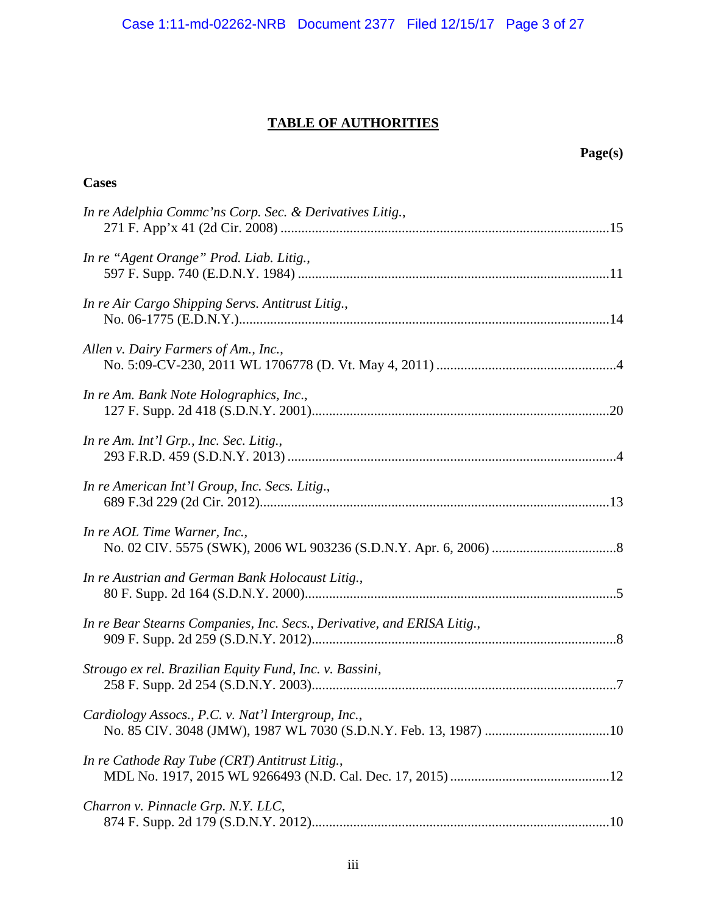# **TABLE OF AUTHORITIES**

| Page(s)                                                                 |  |
|-------------------------------------------------------------------------|--|
| <b>Cases</b>                                                            |  |
| In re Adelphia Commc'ns Corp. Sec. & Derivatives Litig.,                |  |
| In re "Agent Orange" Prod. Liab. Litig.,                                |  |
| In re Air Cargo Shipping Servs. Antitrust Litig.,                       |  |
| Allen v. Dairy Farmers of Am., Inc.,                                    |  |
| In re Am. Bank Note Holographics, Inc.,                                 |  |
| In re Am. Int'l Grp., Inc. Sec. Litig.,                                 |  |
| In re American Int'l Group, Inc. Secs. Litig.,                          |  |
| In re AOL Time Warner, Inc.,                                            |  |
| In re Austrian and German Bank Holocaust Litig.,                        |  |
| In re Bear Stearns Companies, Inc. Secs., Derivative, and ERISA Litig., |  |
| Strougo ex rel. Brazilian Equity Fund, Inc. v. Bassini,                 |  |
| Cardiology Assocs., P.C. v. Nat'l Intergroup, Inc.,                     |  |
| In re Cathode Ray Tube (CRT) Antitrust Litig.,                          |  |
| Charron v. Pinnacle Grp. N.Y. LLC,                                      |  |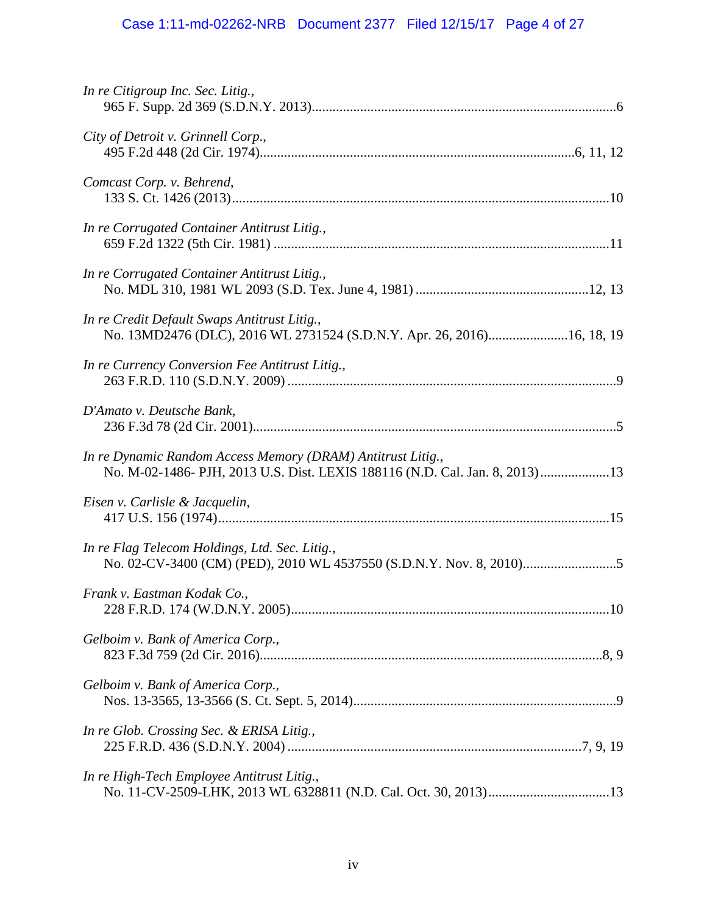# Case 1:11-md-02262-NRB Document 2377 Filed 12/15/17 Page 4 of 27

| In re Citigroup Inc. Sec. Litig.,                                                                                                          |
|--------------------------------------------------------------------------------------------------------------------------------------------|
| City of Detroit v. Grinnell Corp.,                                                                                                         |
| Comcast Corp. v. Behrend,                                                                                                                  |
| In re Corrugated Container Antitrust Litig.,                                                                                               |
| In re Corrugated Container Antitrust Litig.,                                                                                               |
| In re Credit Default Swaps Antitrust Litig.,<br>No. 13MD2476 (DLC), 2016 WL 2731524 (S.D.N.Y. Apr. 26, 2016)16, 18, 19                     |
| In re Currency Conversion Fee Antitrust Litig.,                                                                                            |
| D'Amato v. Deutsche Bank,                                                                                                                  |
| In re Dynamic Random Access Memory (DRAM) Antitrust Litig.,<br>No. M-02-1486- PJH, 2013 U.S. Dist. LEXIS 188116 (N.D. Cal. Jan. 8, 2013)13 |
| Eisen v. Carlisle & Jacquelin,                                                                                                             |
| In re Flag Telecom Holdings, Ltd. Sec. Litig.,                                                                                             |
| Frank v. Eastman Kodak Co.,                                                                                                                |
| Gelboim v. Bank of America Corp.,                                                                                                          |
| Gelboim v. Bank of America Corp.,                                                                                                          |
| In re Glob. Crossing Sec. & ERISA Litig.,                                                                                                  |
| In re High-Tech Employee Antitrust Litig.,                                                                                                 |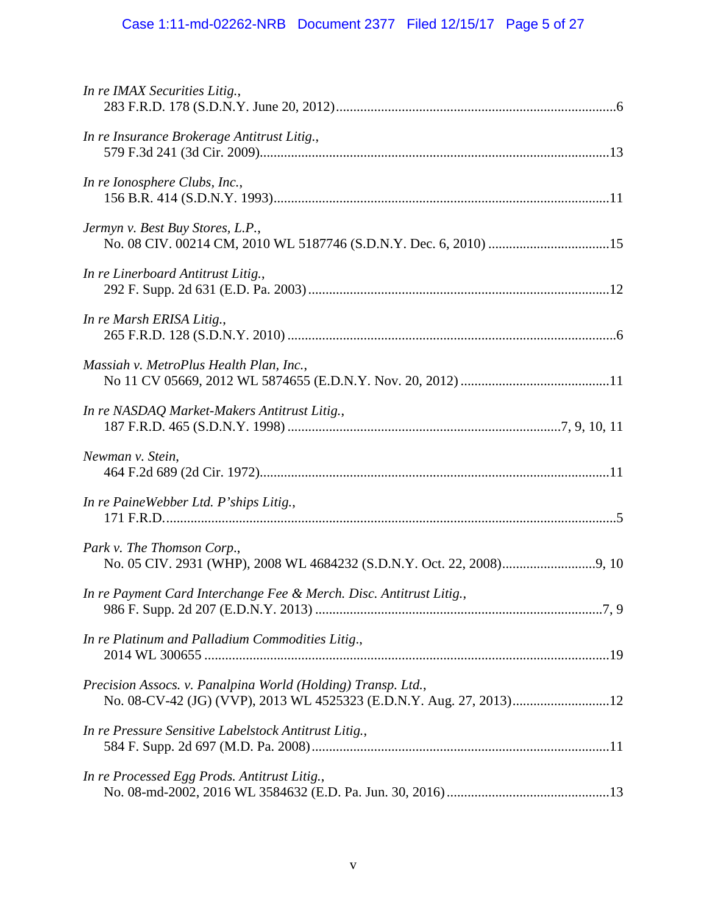# Case 1:11-md-02262-NRB Document 2377 Filed 12/15/17 Page 5 of 27

| In re IMAX Securities Litig.,                                                                                                       |  |
|-------------------------------------------------------------------------------------------------------------------------------------|--|
| In re Insurance Brokerage Antitrust Litig.,                                                                                         |  |
| In re Ionosphere Clubs, Inc.,                                                                                                       |  |
| Jermyn v. Best Buy Stores, L.P.,                                                                                                    |  |
| In re Linerboard Antitrust Litig.,                                                                                                  |  |
| In re Marsh ERISA Litig.,                                                                                                           |  |
| Massiah v. MetroPlus Health Plan, Inc.,                                                                                             |  |
| In re NASDAQ Market-Makers Antitrust Litig.,                                                                                        |  |
| Newman v. Stein,                                                                                                                    |  |
| In re PaineWebber Ltd. P'ships Litig.,                                                                                              |  |
| Park v. The Thomson Corp.,                                                                                                          |  |
| In re Payment Card Interchange Fee & Merch. Disc. Antitrust Litig.,                                                                 |  |
| In re Platinum and Palladium Commodities Litig.,                                                                                    |  |
| Precision Assocs. v. Panalpina World (Holding) Transp. Ltd.,<br>No. 08-CV-42 (JG) (VVP), 2013 WL 4525323 (E.D.N.Y. Aug. 27, 2013)12 |  |
| In re Pressure Sensitive Labelstock Antitrust Litig.,                                                                               |  |
| In re Processed Egg Prods. Antitrust Litig.,                                                                                        |  |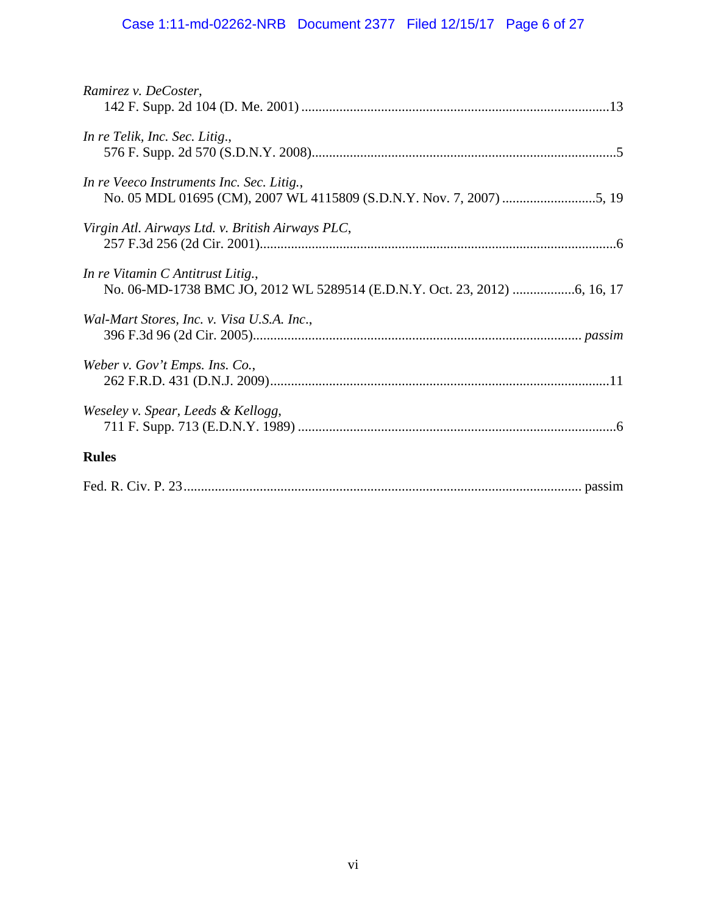# Case 1:11-md-02262-NRB Document 2377 Filed 12/15/17 Page 6 of 27

| Ramirez v. DeCoster,                             |
|--------------------------------------------------|
| In re Telik, Inc. Sec. Litig.,                   |
| In re Veeco Instruments Inc. Sec. Litig.,        |
| Virgin Atl. Airways Ltd. v. British Airways PLC, |
| In re Vitamin C Antitrust Litig.,                |
| Wal-Mart Stores, Inc. v. Visa U.S.A. Inc.,       |
| Weber v. Gov't Emps. Ins. Co.,                   |
| Weseley v. Spear, Leeds & Kellogg,               |
| <b>Rules</b>                                     |
|                                                  |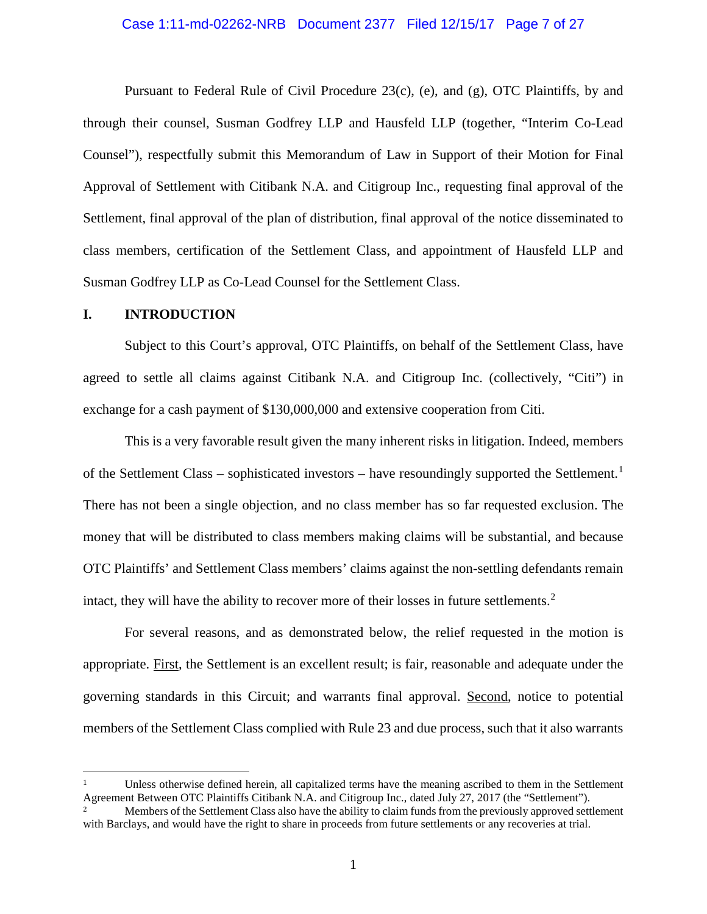#### Case 1:11-md-02262-NRB Document 2377 Filed 12/15/17 Page 7 of 27

Pursuant to Federal Rule of Civil Procedure 23(c), (e), and (g), OTC Plaintiffs, by and through their counsel, Susman Godfrey LLP and Hausfeld LLP (together, "Interim Co-Lead Counsel"), respectfully submit this Memorandum of Law in Support of their Motion for Final Approval of Settlement with Citibank N.A. and Citigroup Inc., requesting final approval of the Settlement, final approval of the plan of distribution, final approval of the notice disseminated to class members, certification of the Settlement Class, and appointment of Hausfeld LLP and Susman Godfrey LLP as Co-Lead Counsel for the Settlement Class.

## <span id="page-6-0"></span>**I. INTRODUCTION**

Subject to this Court's approval, OTC Plaintiffs, on behalf of the Settlement Class, have agreed to settle all claims against Citibank N.A. and Citigroup Inc. (collectively, "Citi") in exchange for a cash payment of \$130,000,000 and extensive cooperation from Citi.

This is a very favorable result given the many inherent risks in litigation. Indeed, members of the Settlement Class - sophisticated investors - have resoundingly supported the Settlement.<sup>[1](#page-6-1)</sup> There has not been a single objection, and no class member has so far requested exclusion. The money that will be distributed to class members making claims will be substantial, and because OTC Plaintiffs' and Settlement Class members' claims against the non-settling defendants remain intact, they will have the ability to recover more of their losses in future settlements.<sup>[2](#page-6-2)</sup>

For several reasons, and as demonstrated below, the relief requested in the motion is appropriate. First, the Settlement is an excellent result; is fair, reasonable and adequate under the governing standards in this Circuit; and warrants final approval. Second, notice to potential members of the Settlement Class complied with Rule 23 and due process, such that it also warrants

<span id="page-6-1"></span> <sup>1</sup> Unless otherwise defined herein, all capitalized terms have the meaning ascribed to them in the Settlement Agreement Between OTC Plaintiffs Citibank N.A. and Citigroup Inc., dated July 27, 2017 (the "Settlement").

<span id="page-6-2"></span><sup>2</sup> Members of the Settlement Class also have the ability to claim funds from the previously approved settlement with Barclays, and would have the right to share in proceeds from future settlements or any recoveries at trial.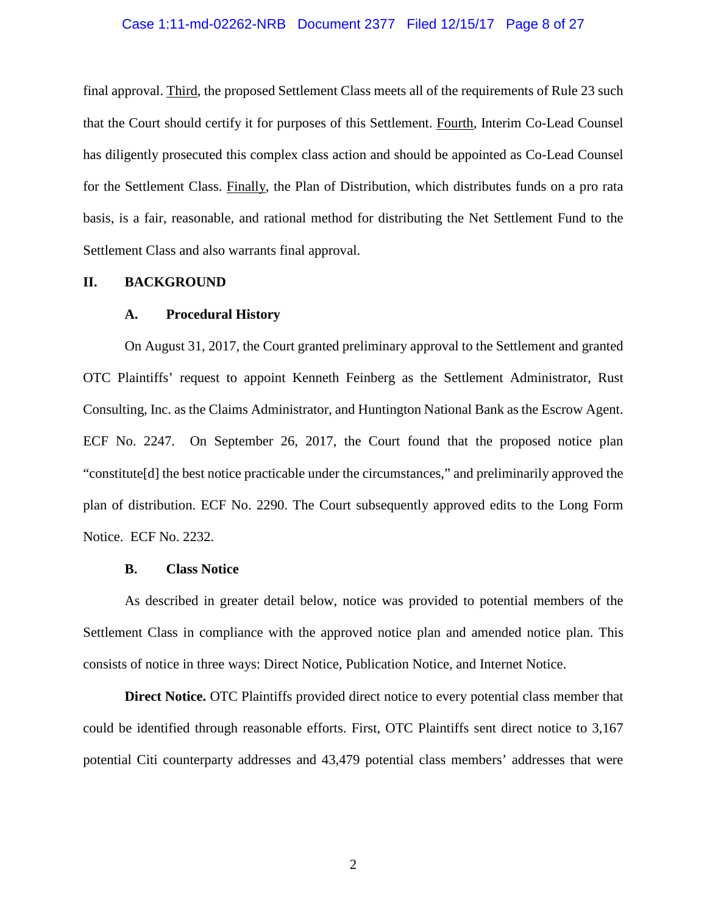#### Case 1:11-md-02262-NRB Document 2377 Filed 12/15/17 Page 8 of 27

final approval. Third, the proposed Settlement Class meets all of the requirements of Rule 23 such that the Court should certify it for purposes of this Settlement. Fourth, Interim Co-Lead Counsel has diligently prosecuted this complex class action and should be appointed as Co-Lead Counsel for the Settlement Class. Finally, the Plan of Distribution, which distributes funds on a pro rata basis, is a fair, reasonable, and rational method for distributing the Net Settlement Fund to the Settlement Class and also warrants final approval.

### <span id="page-7-1"></span><span id="page-7-0"></span>**II. BACKGROUND**

#### **A. Procedural History**

On August 31, 2017, the Court granted preliminary approval to the Settlement and granted OTC Plaintiffs' request to appoint Kenneth Feinberg as the Settlement Administrator, Rust Consulting, Inc. as the Claims Administrator, and Huntington National Bank as the Escrow Agent. ECF No. 2247. On September 26, 2017, the Court found that the proposed notice plan "constitute[d] the best notice practicable under the circumstances," and preliminarily approved the plan of distribution. ECF No. 2290. The Court subsequently approved edits to the Long Form Notice. ECF No. 2232.

#### **B. Class Notice**

<span id="page-7-2"></span>As described in greater detail below, notice was provided to potential members of the Settlement Class in compliance with the approved notice plan and amended notice plan. This consists of notice in three ways: Direct Notice, Publication Notice, and Internet Notice.

**Direct Notice.** OTC Plaintiffs provided direct notice to every potential class member that could be identified through reasonable efforts. First, OTC Plaintiffs sent direct notice to 3,167 potential Citi counterparty addresses and 43,479 potential class members' addresses that were

2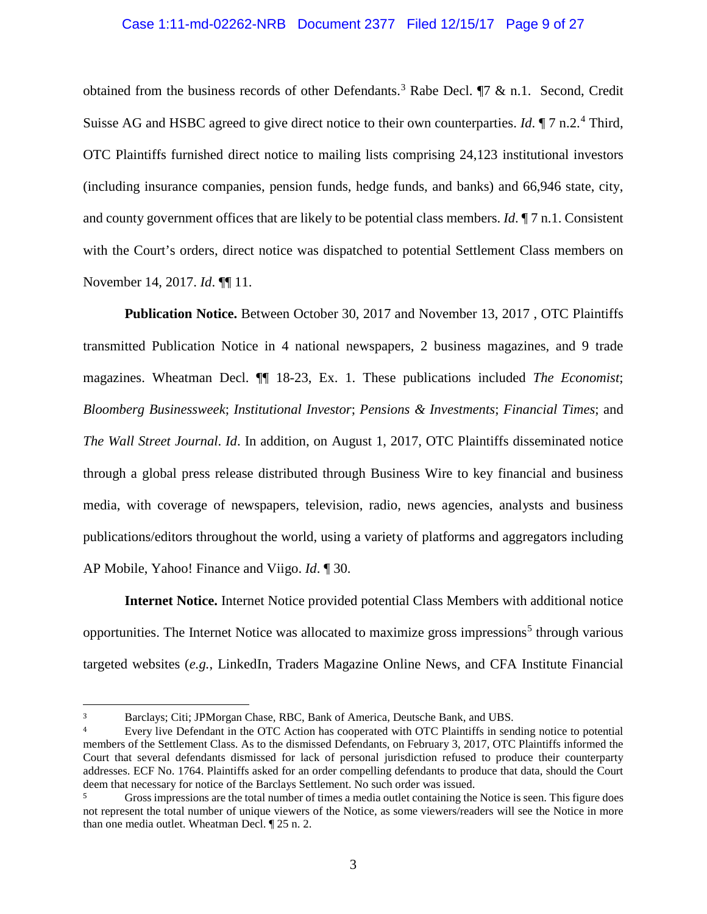#### Case 1:11-md-02262-NRB Document 2377 Filed 12/15/17 Page 9 of 27

obtained from the business records of other Defendants. [3](#page-8-0) Rabe Decl. ¶7 & n.1. Second, Credit Suisse AG and HSBC agreed to give direct notice to their own counterparties. *Id*. *¶* 7 n.2.<sup>[4](#page-8-1)</sup> Third, OTC Plaintiffs furnished direct notice to mailing lists comprising 24,123 institutional investors (including insurance companies, pension funds, hedge funds, and banks) and 66,946 state, city, and county government offices that are likely to be potential class members. *Id*.  $\P$  7 n.1. Consistent with the Court's orders, direct notice was dispatched to potential Settlement Class members on November 14, 2017. *Id*. ¶¶ 11.

**Publication Notice.** Between October 30, 2017 and November 13, 2017 , OTC Plaintiffs transmitted Publication Notice in 4 national newspapers, 2 business magazines, and 9 trade magazines. Wheatman Decl. ¶¶ 18-23, Ex. 1. These publications included *The Economist*; *Bloomberg Businessweek*; *Institutional Investor*; *Pensions & Investments*; *Financial Times*; and *The Wall Street Journal*. *Id*. In addition, on August 1, 2017, OTC Plaintiffs disseminated notice through a global press release distributed through Business Wire to key financial and business media, with coverage of newspapers, television, radio, news agencies, analysts and business publications/editors throughout the world, using a variety of platforms and aggregators including AP Mobile, Yahoo! Finance and Viigo. *Id*. ¶ 30.

**Internet Notice.** Internet Notice provided potential Class Members with additional notice opportunities. The Internet Notice was allocated to maximize gross impressions<sup>[5](#page-8-2)</sup> through various targeted websites (*e.g.*, LinkedIn, Traders Magazine Online News, and CFA Institute Financial

<span id="page-8-0"></span> <sup>3</sup> Barclays; Citi; JPMorgan Chase, RBC, Bank of America, Deutsche Bank, and UBS.

<span id="page-8-1"></span>Every live Defendant in the OTC Action has cooperated with OTC Plaintiffs in sending notice to potential members of the Settlement Class. As to the dismissed Defendants, on February 3, 2017, OTC Plaintiffs informed the Court that several defendants dismissed for lack of personal jurisdiction refused to produce their counterparty addresses. ECF No. 1764. Plaintiffs asked for an order compelling defendants to produce that data, should the Court deem that necessary for notice of the Barclays Settlement. No such order was issued.

<span id="page-8-2"></span><sup>5</sup> Gross impressions are the total number of times a media outlet containing the Notice is seen. This figure does not represent the total number of unique viewers of the Notice, as some viewers/readers will see the Notice in more than one media outlet. Wheatman Decl. ¶ 25 n. 2.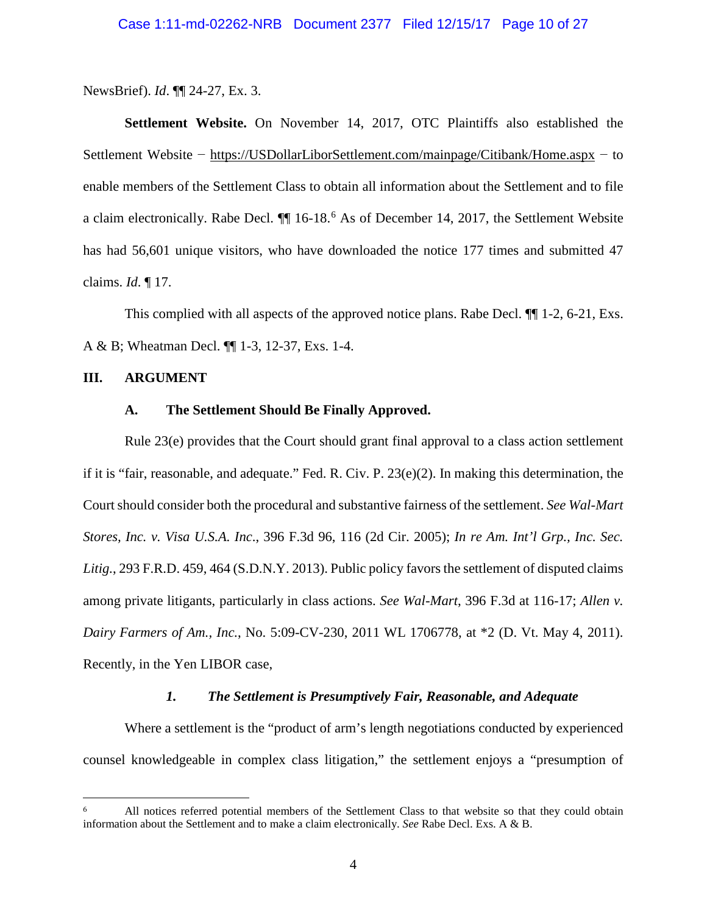NewsBrief). *Id*. ¶¶ 24-27, Ex. 3.

**Settlement Website.** On November 14, 2017, OTC Plaintiffs also established the Settlement Website − https://USDollarLiborSettlement.com/mainpage/Citibank/Home.aspx − to enable members of the Settlement Class to obtain all information about the Settlement and to file a claim electronically. Rabe Decl.  $\P$  1[6](#page-9-6)-18.<sup>6</sup> As of December 14, 2017, the Settlement Website has had 56,601 unique visitors, who have downloaded the notice 177 times and submitted 47 claims. *Id*. ¶ 17.

This complied with all aspects of the approved notice plans. Rabe Decl. ¶¶ 1-2, 6-21, Exs. A & B; Wheatman Decl. ¶¶ 1-3, 12-37, Exs. 1-4.

#### <span id="page-9-1"></span><span id="page-9-0"></span>**III. ARGUMENT**

#### **A. The Settlement Should Be Finally Approved.**

Rule 23(e) provides that the Court should grant final approval to a class action settlement if it is "fair, reasonable, and adequate." Fed. R. Civ. P. 23(e)(2). In making this determination, the Court should consider both the procedural and substantive fairness of the settlement. *See Wal-Mart Stores, Inc. v. Visa U.S.A. Inc*., 396 F.3d 96, 116 (2d Cir. 2005); *In re Am. Int'l Grp., Inc. Sec. Litig.*, 293 F.R.D. 459, 464 (S.D.N.Y. 2013). Public policy favors the settlement of disputed claims among private litigants, particularly in class actions. *See Wal-Mart*, 396 F.3d at 116-17; *Allen v. Dairy Farmers of Am., Inc.*, No. 5:09-CV-230, 2011 WL 1706778, at \*2 (D. Vt. May 4, 2011). Recently, in the Yen LIBOR case,

### <span id="page-9-5"></span><span id="page-9-4"></span><span id="page-9-3"></span>*1. The Settlement is Presumptively Fair, Reasonable, and Adequate*

<span id="page-9-2"></span>Where a settlement is the "product of arm's length negotiations conducted by experienced counsel knowledgeable in complex class litigation," the settlement enjoys a "presumption of

<span id="page-9-6"></span><sup>&</sup>lt;sup>6</sup> All notices referred potential members of the Settlement Class to that website so that they could obtain information about the Settlement and to make a claim electronically. *See* Rabe Decl. Exs. A & B.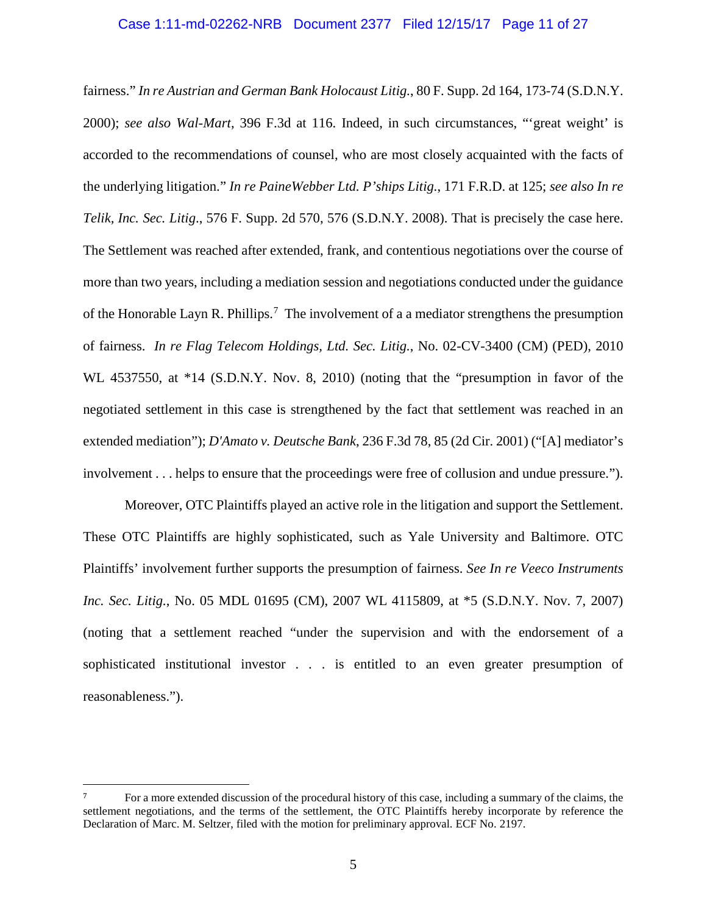#### <span id="page-10-4"></span>Case 1:11-md-02262-NRB Document 2377 Filed 12/15/17 Page 11 of 27

<span id="page-10-3"></span><span id="page-10-0"></span>fairness." *In re Austrian and German Bank Holocaust Litig.*, 80 F. Supp. 2d 164, 173-74 (S.D.N.Y. 2000); *see also Wal-Mart*, 396 F.3d at 116. Indeed, in such circumstances, "'great weight' is accorded to the recommendations of counsel, who are most closely acquainted with the facts of the underlying litigation." *In re PaineWebber Ltd. P'ships Litig.*, 171 F.R.D. at 125; *see also In re Telik, Inc. Sec. Litig*., 576 F. Supp. 2d 570, 576 (S.D.N.Y. 2008). That is precisely the case here. The Settlement was reached after extended, frank, and contentious negotiations over the course of more than two years, including a mediation session and negotiations conducted under the guidance of the Honorable Layn R. Phillips.<sup>[7](#page-10-6)</sup> The involvement of a a mediator strengthens the presumption of fairness. *In re Flag Telecom Holdings, Ltd. Sec. Litig.*, No. 02-CV-3400 (CM) (PED), 2010 WL 4537550, at \*14 (S.D.N.Y. Nov. 8, 2010) (noting that the "presumption in favor of the negotiated settlement in this case is strengthened by the fact that settlement was reached in an extended mediation"); *D'Amato v. Deutsche Bank*, 236 F.3d 78, 85 (2d Cir. 2001) ("[A] mediator's involvement . . . helps to ensure that the proceedings were free of collusion and undue pressure.").

<span id="page-10-5"></span><span id="page-10-2"></span><span id="page-10-1"></span>Moreover, OTC Plaintiffs played an active role in the litigation and support the Settlement. These OTC Plaintiffs are highly sophisticated, such as Yale University and Baltimore. OTC Plaintiffs' involvement further supports the presumption of fairness. *See In re Veeco Instruments Inc. Sec. Litig.*, No. 05 MDL 01695 (CM), 2007 WL 4115809, at \*5 (S.D.N.Y. Nov. 7, 2007) (noting that a settlement reached "under the supervision and with the endorsement of a sophisticated institutional investor . . . is entitled to an even greater presumption of reasonableness.").

<span id="page-10-6"></span> <sup>7</sup> For a more extended discussion of the procedural history of this case, including a summary of the claims, the settlement negotiations, and the terms of the settlement, the OTC Plaintiffs hereby incorporate by reference the Declaration of Marc. M. Seltzer, filed with the motion for preliminary approval. ECF No. 2197.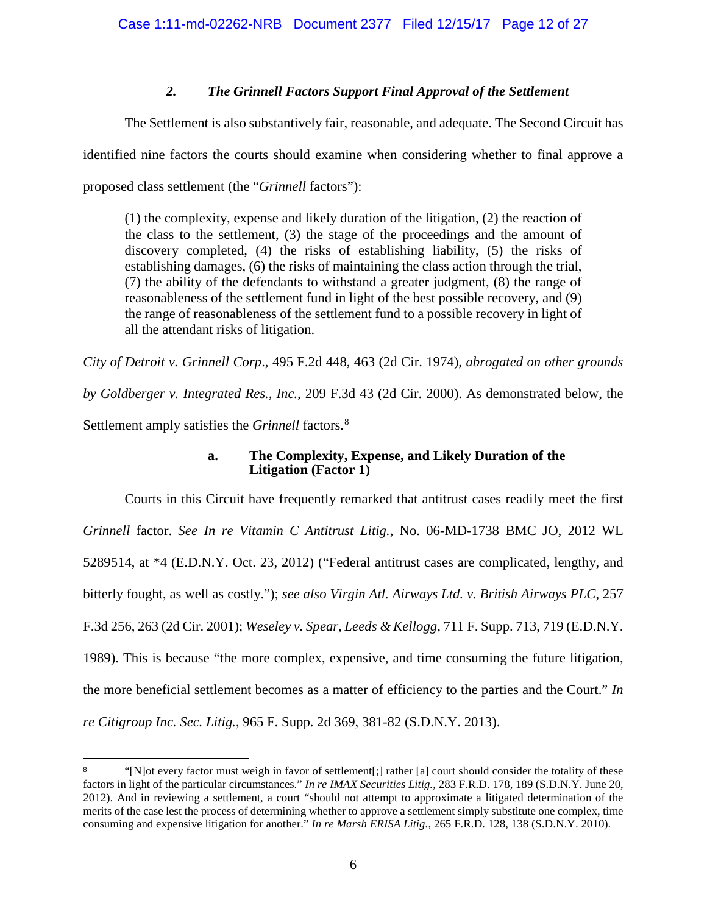# <span id="page-11-3"></span>*2. The Grinnell Factors Support Final Approval of the Settlement*

<span id="page-11-0"></span>The Settlement is also substantively fair, reasonable, and adequate. The Second Circuit has identified nine factors the courts should examine when considering whether to final approve a proposed class settlement (the "*Grinnell* factors"):

(1) the complexity, expense and likely duration of the litigation, (2) the reaction of the class to the settlement, (3) the stage of the proceedings and the amount of discovery completed, (4) the risks of establishing liability, (5) the risks of establishing damages, (6) the risks of maintaining the class action through the trial, (7) the ability of the defendants to withstand a greater judgment, (8) the range of reasonableness of the settlement fund in light of the best possible recovery, and (9) the range of reasonableness of the settlement fund to a possible recovery in light of all the attendant risks of litigation.

*City of Detroit v. Grinnell Corp*., 495 F.2d 448, 463 (2d Cir. 1974), *abrogated on other grounds by Goldberger v. Integrated Res., Inc.*, 209 F.3d 43 (2d Cir. 2000). As demonstrated below, the Settlement amply satisfies the *Grinnell* factors. [8](#page-11-9)

# <span id="page-11-8"></span><span id="page-11-7"></span><span id="page-11-6"></span><span id="page-11-2"></span>**a. The Complexity, Expense, and Likely Duration of the Litigation (Factor 1)**

<span id="page-11-1"></span>Courts in this Circuit have frequently remarked that antitrust cases readily meet the first *Grinnell* factor. *See In re Vitamin C Antitrust Litig.*, No. 06-MD-1738 BMC JO, 2012 WL 5289514, at \*4 (E.D.N.Y. Oct. 23, 2012) ("Federal antitrust cases are complicated, lengthy, and bitterly fought, as well as costly."); *see also Virgin Atl. Airways Ltd. v. British Airways PLC*, 257 F.3d 256, 263 (2d Cir. 2001); *Weseley v. Spear, Leeds & Kellogg*, 711 F. Supp. 713, 719 (E.D.N.Y. 1989). This is because "the more complex, expensive, and time consuming the future litigation, the more beneficial settlement becomes as a matter of efficiency to the parties and the Court." *In re Citigroup Inc. Sec. Litig.*, 965 F. Supp. 2d 369, 381-82 (S.D.N.Y. 2013).

<span id="page-11-9"></span><span id="page-11-5"></span><span id="page-11-4"></span><sup>&</sup>lt;sup>8</sup> "[N]ot every factor must weigh in favor of settlement[;] rather [a] court should consider the totality of these factors in light of the particular circumstances." *In re IMAX Securities Litig.*, 283 F.R.D. 178, 189 (S.D.N.Y. June 20, 2012). And in reviewing a settlement, a court "should not attempt to approximate a litigated determination of the merits of the case lest the process of determining whether to approve a settlement simply substitute one complex, time consuming and expensive litigation for another." *In re Marsh ERISA Litig.*, 265 F.R.D. 128, 138 (S.D.N.Y. 2010).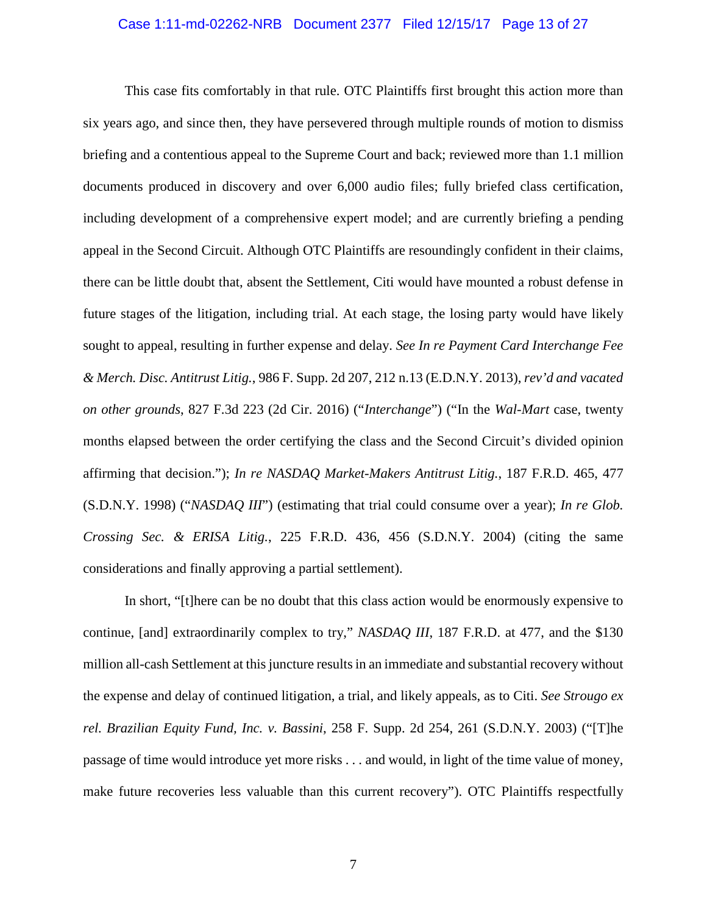#### Case 1:11-md-02262-NRB Document 2377 Filed 12/15/17 Page 13 of 27

<span id="page-12-3"></span>This case fits comfortably in that rule. OTC Plaintiffs first brought this action more than six years ago, and since then, they have persevered through multiple rounds of motion to dismiss briefing and a contentious appeal to the Supreme Court and back; reviewed more than 1.1 million documents produced in discovery and over 6,000 audio files; fully briefed class certification, including development of a comprehensive expert model; and are currently briefing a pending appeal in the Second Circuit. Although OTC Plaintiffs are resoundingly confident in their claims, there can be little doubt that, absent the Settlement, Citi would have mounted a robust defense in future stages of the litigation, including trial. At each stage, the losing party would have likely sought to appeal, resulting in further expense and delay. *See In re Payment Card Interchange Fee & Merch. Disc. Antitrust Litig.*, 986 F. Supp. 2d 207, 212 n.13 (E.D.N.Y. 2013), *rev'd and vacated on other grounds*, 827 F.3d 223 (2d Cir. 2016) ("*Interchange*") ("In the *Wal-Mart* case, twenty months elapsed between the order certifying the class and the Second Circuit's divided opinion affirming that decision."); *In re NASDAQ Market-Makers Antitrust Litig.*, 187 F.R.D. 465, 477 (S.D.N.Y. 1998) ("*NASDAQ III*") (estimating that trial could consume over a year); *In re Glob. Crossing Sec. & ERISA Litig.*, 225 F.R.D. 436, 456 (S.D.N.Y. 2004) (citing the same considerations and finally approving a partial settlement).

<span id="page-12-2"></span><span id="page-12-1"></span><span id="page-12-0"></span>In short, "[t]here can be no doubt that this class action would be enormously expensive to continue, [and] extraordinarily complex to try," *NASDAQ III*, 187 F.R.D. at 477, and the \$130 million all-cash Settlement at this juncture results in an immediate and substantial recovery without the expense and delay of continued litigation, a trial, and likely appeals, as to Citi. *See Strougo ex rel. Brazilian Equity Fund, Inc. v. Bassini*, 258 F. Supp. 2d 254, 261 (S.D.N.Y. 2003) ("[T]he passage of time would introduce yet more risks . . . and would, in light of the time value of money, make future recoveries less valuable than this current recovery"). OTC Plaintiffs respectfully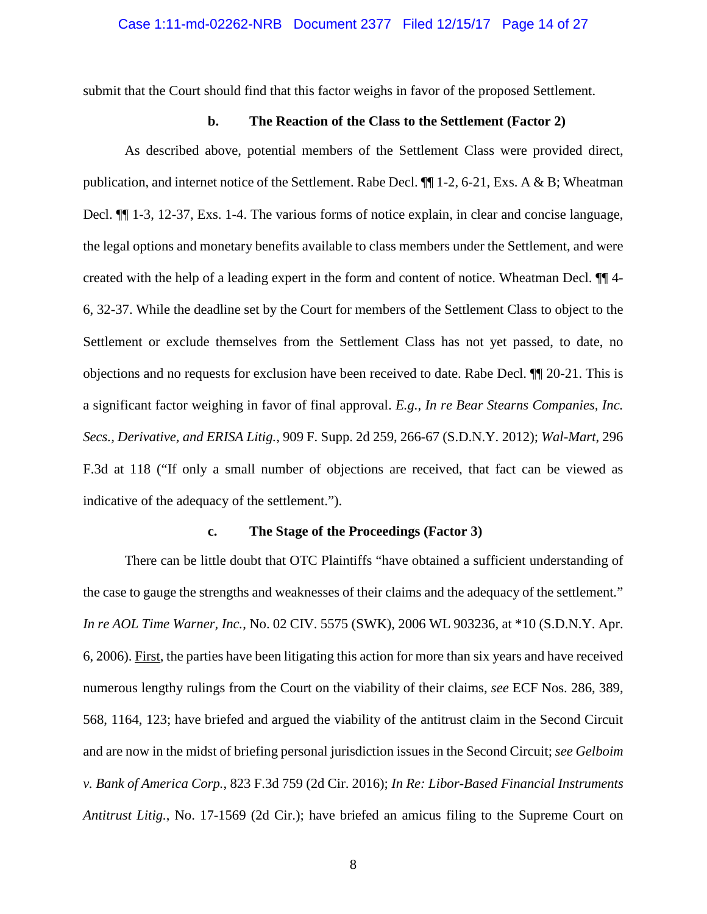submit that the Court should find that this factor weighs in favor of the proposed Settlement.

## **b. The Reaction of the Class to the Settlement (Factor 2)**

<span id="page-13-0"></span>As described above, potential members of the Settlement Class were provided direct, publication, and internet notice of the Settlement. Rabe Decl.  $\P$  $1$ -2, 6-21, Exs. A & B; Wheatman Decl. ¶¶ 1-3, 12-37, Exs. 1-4. The various forms of notice explain, in clear and concise language, the legal options and monetary benefits available to class members under the Settlement, and were created with the help of a leading expert in the form and content of notice. Wheatman Decl. ¶¶ 4- 6, 32-37. While the deadline set by the Court for members of the Settlement Class to object to the Settlement or exclude themselves from the Settlement Class has not yet passed, to date, no objections and no requests for exclusion have been received to date. Rabe Decl. ¶¶ 20-21. This is a significant factor weighing in favor of final approval. *E.g.*, *In re Bear Stearns Companies, Inc. Secs., Derivative, and ERISA Litig.*, 909 F. Supp. 2d 259, 266-67 (S.D.N.Y. 2012); *Wal-Mart*, 296 F.3d at 118 ("If only a small number of objections are received, that fact can be viewed as indicative of the adequacy of the settlement.").

#### <span id="page-13-4"></span><span id="page-13-3"></span>**c. The Stage of the Proceedings (Factor 3)**

<span id="page-13-2"></span><span id="page-13-1"></span>There can be little doubt that OTC Plaintiffs "have obtained a sufficient understanding of the case to gauge the strengths and weaknesses of their claims and the adequacy of the settlement*.*" *In re AOL Time Warner, Inc.*, No. 02 CIV. 5575 (SWK), 2006 WL 903236, at \*10 (S.D.N.Y. Apr. 6, 2006). First, the parties have been litigating this action for more than six years and have received numerous lengthy rulings from the Court on the viability of their claims, *see* ECF Nos. 286, 389, 568, 1164, 123; have briefed and argued the viability of the antitrust claim in the Second Circuit and are now in the midst of briefing personal jurisdiction issues in the Second Circuit; *see Gelboim v. Bank of America Corp.*, 823 F.3d 759 (2d Cir. 2016); *In Re: Libor-Based Financial Instruments Antitrust Litig.*, No. 17-1569 (2d Cir.); have briefed an amicus filing to the Supreme Court on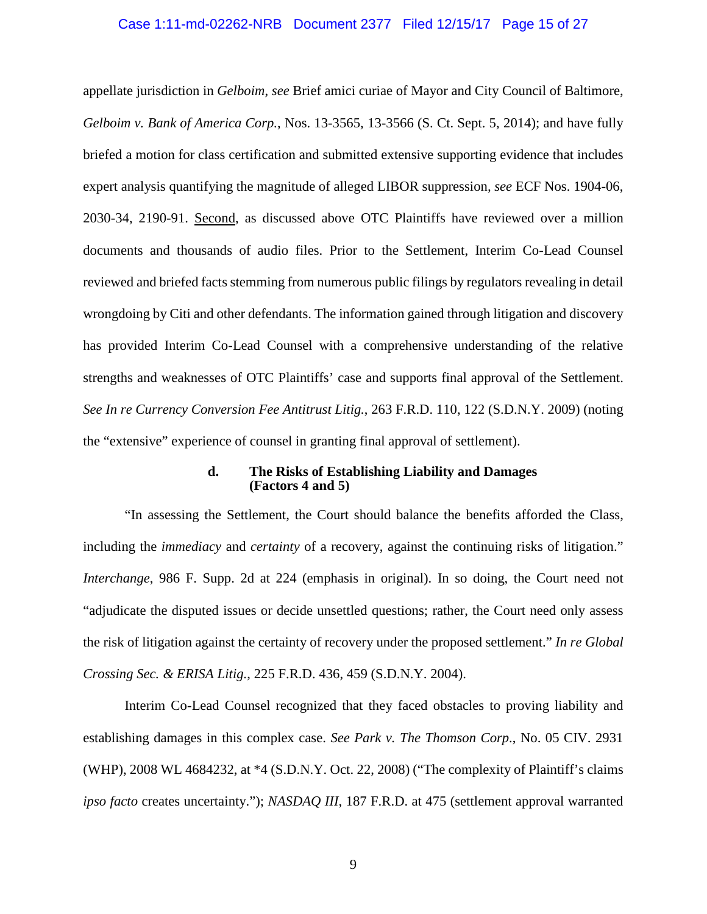#### <span id="page-14-2"></span>Case 1:11-md-02262-NRB Document 2377 Filed 12/15/17 Page 15 of 27

<span id="page-14-3"></span>appellate jurisdiction in *Gelboim*, *see* Brief amici curiae of Mayor and City Council of Baltimore, *Gelboim v. Bank of America Corp.*, Nos. 13-3565, 13-3566 (S. Ct. Sept. 5, 2014); and have fully briefed a motion for class certification and submitted extensive supporting evidence that includes expert analysis quantifying the magnitude of alleged LIBOR suppression*, see* ECF Nos. 1904-06, 2030-34, 2190-91. Second, as discussed above OTC Plaintiffs have reviewed over a million documents and thousands of audio files. Prior to the Settlement, Interim Co-Lead Counsel reviewed and briefed facts stemming from numerous public filings by regulators revealing in detail wrongdoing by Citi and other defendants. The information gained through litigation and discovery has provided Interim Co-Lead Counsel with a comprehensive understanding of the relative strengths and weaknesses of OTC Plaintiffs' case and supports final approval of the Settlement. *See In re Currency Conversion Fee Antitrust Litig.*, 263 F.R.D. 110, 122 (S.D.N.Y. 2009) (noting the "extensive" experience of counsel in granting final approval of settlement).

#### <span id="page-14-4"></span>**d. The Risks of Establishing Liability and Damages (Factors 4 and 5)**

<span id="page-14-7"></span><span id="page-14-1"></span><span id="page-14-0"></span>"In assessing the Settlement, the Court should balance the benefits afforded the Class, including the *immediacy* and *certainty* of a recovery, against the continuing risks of litigation." *Interchange*, 986 F. Supp. 2d at 224 (emphasis in original). In so doing, the Court need not "adjudicate the disputed issues or decide unsettled questions; rather, the Court need only assess the risk of litigation against the certainty of recovery under the proposed settlement." *In re Global Crossing Sec. & ERISA Litig.*, 225 F.R.D. 436, 459 (S.D.N.Y. 2004).

<span id="page-14-6"></span><span id="page-14-5"></span>Interim Co-Lead Counsel recognized that they faced obstacles to proving liability and establishing damages in this complex case. *See Park v. The Thomson Corp*., No. 05 CIV. 2931 (WHP), 2008 WL 4684232, at \*4 (S.D.N.Y. Oct. 22, 2008) ("The complexity of Plaintiff's claims *ipso facto* creates uncertainty."); *NASDAQ III*, 187 F.R.D. at 475 (settlement approval warranted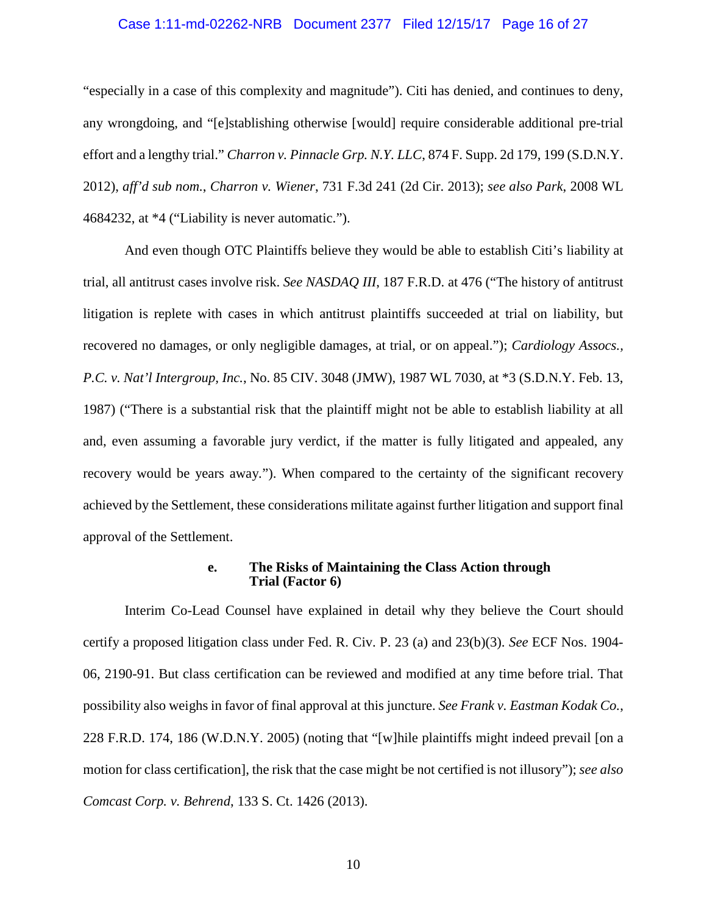#### <span id="page-15-6"></span>Case 1:11-md-02262-NRB Document 2377 Filed 12/15/17 Page 16 of 27

<span id="page-15-2"></span>"especially in a case of this complexity and magnitude"). Citi has denied, and continues to deny, any wrongdoing, and "[e]stablishing otherwise [would] require considerable additional pre-trial effort and a lengthy trial." *Charron v. Pinnacle Grp. N.Y. LLC*, 874 F. Supp. 2d 179, 199 (S.D.N.Y. 2012), *aff'd sub nom.*, *Charron v. Wiener*, 731 F.3d 241 (2d Cir. 2013); *see also Park*, 2008 WL 4684232, at \*4 ("Liability is never automatic.").

<span id="page-15-5"></span>And even though OTC Plaintiffs believe they would be able to establish Citi's liability at trial, all antitrust cases involve risk. *See NASDAQ III*, 187 F.R.D. at 476 ("The history of antitrust litigation is replete with cases in which antitrust plaintiffs succeeded at trial on liability, but recovered no damages, or only negligible damages, at trial, or on appeal."); *Cardiology Assocs., P.C. v. Nat'l Intergroup, Inc.*, No. 85 CIV. 3048 (JMW), 1987 WL 7030, at \*3 (S.D.N.Y. Feb. 13, 1987) ("There is a substantial risk that the plaintiff might not be able to establish liability at all and, even assuming a favorable jury verdict, if the matter is fully litigated and appealed, any recovery would be years away*.*"). When compared to the certainty of the significant recovery achieved by the Settlement, these considerations militate against further litigation and support final approval of the Settlement.

#### <span id="page-15-7"></span><span id="page-15-4"></span><span id="page-15-1"></span>**e. The Risks of Maintaining the Class Action through Trial (Factor 6)**

<span id="page-15-3"></span><span id="page-15-0"></span>Interim Co-Lead Counsel have explained in detail why they believe the Court should certify a proposed litigation class under Fed. R. Civ. P. 23 (a) and 23(b)(3). *See* ECF Nos. 1904- 06, 2190-91. But class certification can be reviewed and modified at any time before trial. That possibility also weighs in favor of final approval at this juncture. *See Frank v. Eastman Kodak Co.*, 228 F.R.D. 174, 186 (W.D.N.Y. 2005) (noting that "[w]hile plaintiffs might indeed prevail [on a motion for class certification], the risk that the case might be not certified is not illusory"); *see also Comcast Corp. v. Behrend*, 133 S. Ct. 1426 (2013).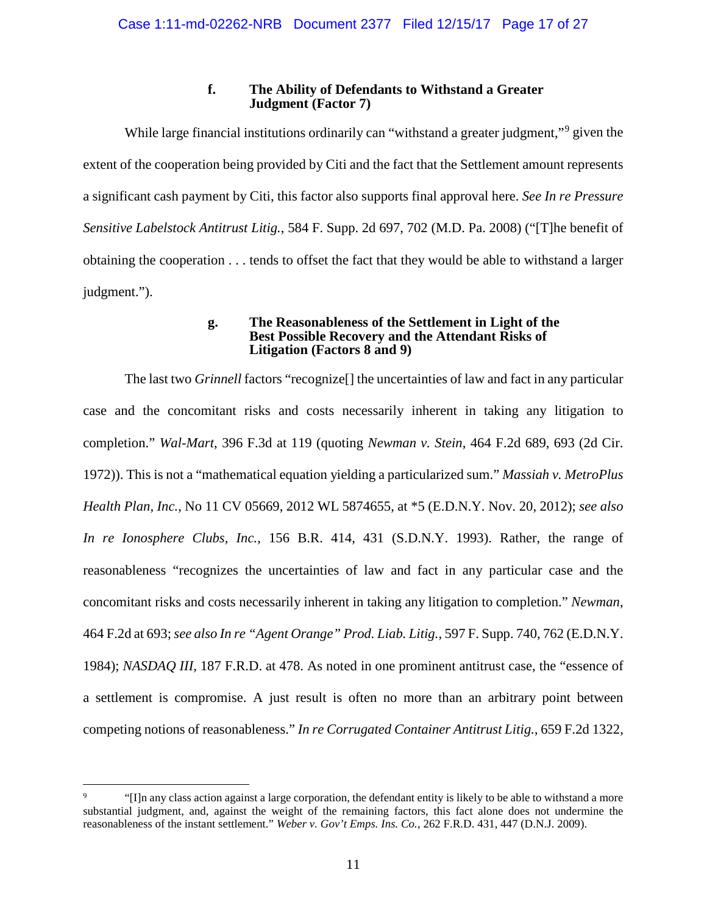# <span id="page-16-9"></span>**f. The Ability of Defendants to Withstand a Greater Judgment (Factor 7)**

<span id="page-16-0"></span>While large financial institutions ordinarily can "withstand a greater judgment,"<sup>[9](#page-16-11)</sup> given the extent of the cooperation being provided by Citi and the fact that the Settlement amount represents a significant cash payment by Citi, this factor also supports final approval here. *See In re Pressure Sensitive Labelstock Antitrust Litig.*, 584 F. Supp. 2d 697, 702 (M.D. Pa. 2008) ("[T]he benefit of obtaining the cooperation . . . tends to offset the fact that they would be able to withstand a larger judgment.").

#### <span id="page-16-8"></span><span id="page-16-6"></span><span id="page-16-3"></span>**g. The Reasonableness of the Settlement in Light of the Best Possible Recovery and the Attendant Risks of Litigation (Factors 8 and 9)**

<span id="page-16-5"></span><span id="page-16-1"></span>The last two *Grinnell* factors "recognize[] the uncertainties of law and fact in any particular case and the concomitant risks and costs necessarily inherent in taking any litigation to completion." *Wal-Mart*, 396 F.3d at 119 (quoting *Newman v. Stein*, 464 F.2d 689, 693 (2d Cir. 1972)). This is not a "mathematical equation yielding a particularized sum." *Massiah v. MetroPlus Health Plan, Inc.*, No 11 CV 05669, 2012 WL 5874655, at \*5 (E.D.N.Y. Nov. 20, 2012); *see also In re Ionosphere Clubs, Inc.*, 156 B.R. 414, 431 (S.D.N.Y. 1993). Rather, the range of reasonableness "recognizes the uncertainties of law and fact in any particular case and the concomitant risks and costs necessarily inherent in taking any litigation to completion." *Newman*, 464 F.2d at 693; *see also In re "Agent Orange" Prod. Liab. Litig.*, 597 F. Supp. 740, 762 (E.D.N.Y. 1984); *NASDAQ III*, 187 F.R.D. at 478. As noted in one prominent antitrust case, the "essence of a settlement is compromise. A just result is often no more than an arbitrary point between competing notions of reasonableness." *In re Corrugated Container Antitrust Litig.*, 659 F.2d 1322,

<span id="page-16-11"></span><span id="page-16-10"></span><span id="page-16-7"></span><span id="page-16-4"></span><span id="page-16-2"></span><sup>&</sup>lt;sup>9</sup> "[I]n any class action against a large corporation, the defendant entity is likely to be able to withstand a more substantial judgment, and, against the weight of the remaining factors, this fact alone does not undermine the reasonableness of the instant settlement." *Weber v. Gov't Emps. Ins. Co.*, 262 F.R.D. 431, 447 (D.N.J. 2009).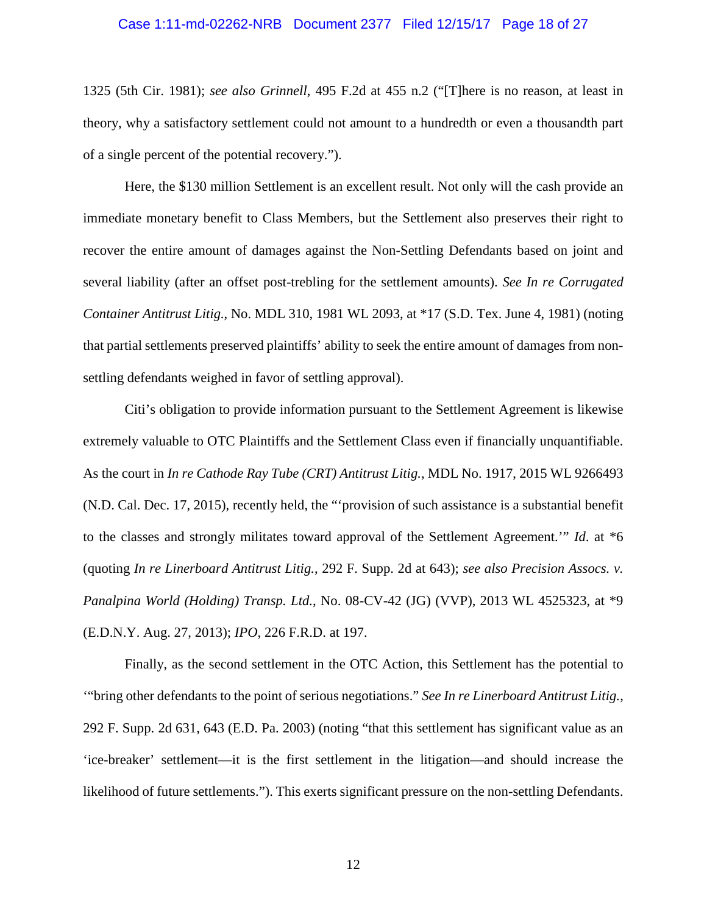#### <span id="page-17-1"></span>Case 1:11-md-02262-NRB Document 2377 Filed 12/15/17 Page 18 of 27

1325 (5th Cir. 1981); *see also Grinnell*, 495 F.2d at 455 n.2 ("[T]here is no reason, at least in theory, why a satisfactory settlement could not amount to a hundredth or even a thousandth part of a single percent of the potential recovery.").

<span id="page-17-2"></span>Here, the \$130 million Settlement is an excellent result. Not only will the cash provide an immediate monetary benefit to Class Members, but the Settlement also preserves their right to recover the entire amount of damages against the Non-Settling Defendants based on joint and several liability (after an offset post-trebling for the settlement amounts). *See In re Corrugated Container Antitrust Litig.*, No. MDL 310, 1981 WL 2093, at \*17 (S.D. Tex. June 4, 1981) (noting that partial settlements preserved plaintiffs' ability to seek the entire amount of damages from nonsettling defendants weighed in favor of settling approval).

<span id="page-17-0"></span>Citi's obligation to provide information pursuant to the Settlement Agreement is likewise extremely valuable to OTC Plaintiffs and the Settlement Class even if financially unquantifiable. As the court in *In re Cathode Ray Tube (CRT) Antitrust Litig.*, MDL No. 1917, 2015 WL 9266493 (N.D. Cal. Dec. 17, 2015), recently held, the "'provision of such assistance is a substantial benefit to the classes and strongly militates toward approval of the Settlement Agreement.'" *Id*. at \*6 (quoting *In re Linerboard Antitrust Litig.*, 292 F. Supp. 2d at 643); *see also Precision Assocs. v. Panalpina World (Holding) Transp. Ltd.*, No. 08-CV-42 (JG) (VVP), 2013 WL 4525323, at \*9 (E.D.N.Y. Aug. 27, 2013); *IPO*, 226 F.R.D. at 197.

<span id="page-17-4"></span><span id="page-17-3"></span>Finally, as the second settlement in the OTC Action, this Settlement has the potential to '"bring other defendants to the point of serious negotiations." *See In re Linerboard Antitrust Litig.*, 292 F. Supp. 2d 631, 643 (E.D. Pa. 2003) (noting "that this settlement has significant value as an 'ice-breaker' settlement—it is the first settlement in the litigation—and should increase the likelihood of future settlements."). This exerts significant pressure on the non-settling Defendants.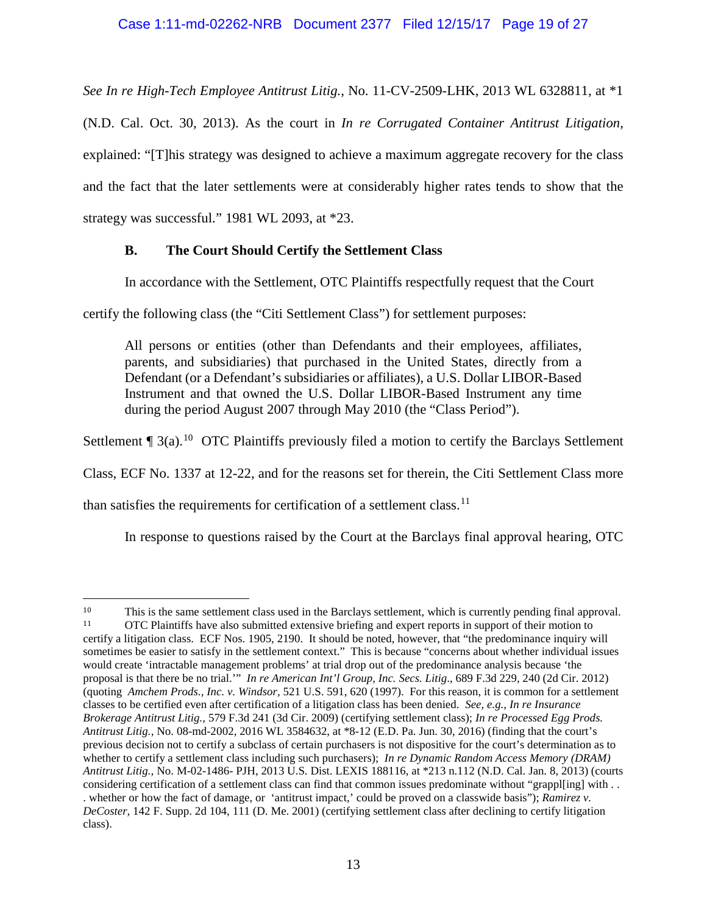<span id="page-18-4"></span>*See In re High-Tech Employee Antitrust Litig.*, No. 11-CV-2509-LHK, 2013 WL 6328811, at \*1

(N.D. Cal. Oct. 30, 2013). As the court in *In re Corrugated Container Antitrust Litigation*, explained: "[T]his strategy was designed to achieve a maximum aggregate recovery for the class and the fact that the later settlements were at considerably higher rates tends to show that the strategy was successful." 1981 WL 2093, at \*23.

# <span id="page-18-2"></span><span id="page-18-0"></span>**B. The Court Should Certify the Settlement Class**

In accordance with the Settlement, OTC Plaintiffs respectfully request that the Court

certify the following class (the "Citi Settlement Class") for settlement purposes:

All persons or entities (other than Defendants and their employees, affiliates, parents, and subsidiaries) that purchased in the United States, directly from a Defendant (or a Defendant's subsidiaries or affiliates), a U.S. Dollar LIBOR-Based Instrument and that owned the U.S. Dollar LIBOR-Based Instrument any time during the period August 2007 through May 2010 (the "Class Period").

Settlement  $\P$  3(a).<sup>[10](#page-18-8)</sup> OTC Plaintiffs previously filed a motion to certify the Barclays Settlement

Class, ECF No. 1337 at 12-22, and for the reasons set for therein, the Citi Settlement Class more

than satisfies the requirements for certification of a settlement class.<sup>[11](#page-18-9)</sup>

<span id="page-18-7"></span><span id="page-18-6"></span><span id="page-18-5"></span>In response to questions raised by the Court at the Barclays final approval hearing, OTC

<span id="page-18-9"></span><span id="page-18-8"></span><span id="page-18-3"></span><span id="page-18-1"></span> <sup>10</sup> This is the same settlement class used in the Barclays settlement, which is currently pending final approval. <sup>11</sup> OTC Plaintiffs have also submitted extensive briefing and expert reports in support of their motion to certify a litigation class. ECF Nos. 1905, 2190. It should be noted, however, that "the predominance inquiry will sometimes be easier to satisfy in the settlement context." This is because "concerns about whether individual issues would create 'intractable management problems' at trial drop out of the predominance analysis because 'the proposal is that there be no trial.'" *In re American Int'l Group, Inc. Secs. Litig*., 689 F.3d 229, 240 (2d Cir. 2012) (quoting *Amchem Prods., Inc. v. Windsor,* 521 U.S. 591, 620 (1997). For this reason, it is common for a settlement classes to be certified even after certification of a litigation class has been denied. *See, e.g., In re Insurance Brokerage Antitrust Litig.,* 579 F.3d 241 (3d Cir. 2009) (certifying settlement class); *In re Processed Egg Prods. Antitrust Litig.*, No. 08-md-2002, 2016 WL 3584632, at \*8-12 (E.D. Pa. Jun. 30, 2016) (finding that the court's previous decision not to certify a subclass of certain purchasers is not dispositive for the court's determination as to whether to certify a settlement class including such purchasers); *In re Dynamic Random Access Memory (DRAM) Antitrust Litig.,* No. M-02-1486- PJH, 2013 U.S. Dist. LEXIS 188116, at \*213 n.112 (N.D. Cal. Jan. 8, 2013) (courts considering certification of a settlement class can find that common issues predominate without "grappl[ing] with ... . whether or how the fact of damage, or 'antitrust impact,' could be proved on a classwide basis"); *Ramirez v. DeCoster,* 142 F. Supp. 2d 104, 111 (D. Me. 2001) (certifying settlement class after declining to certify litigation class).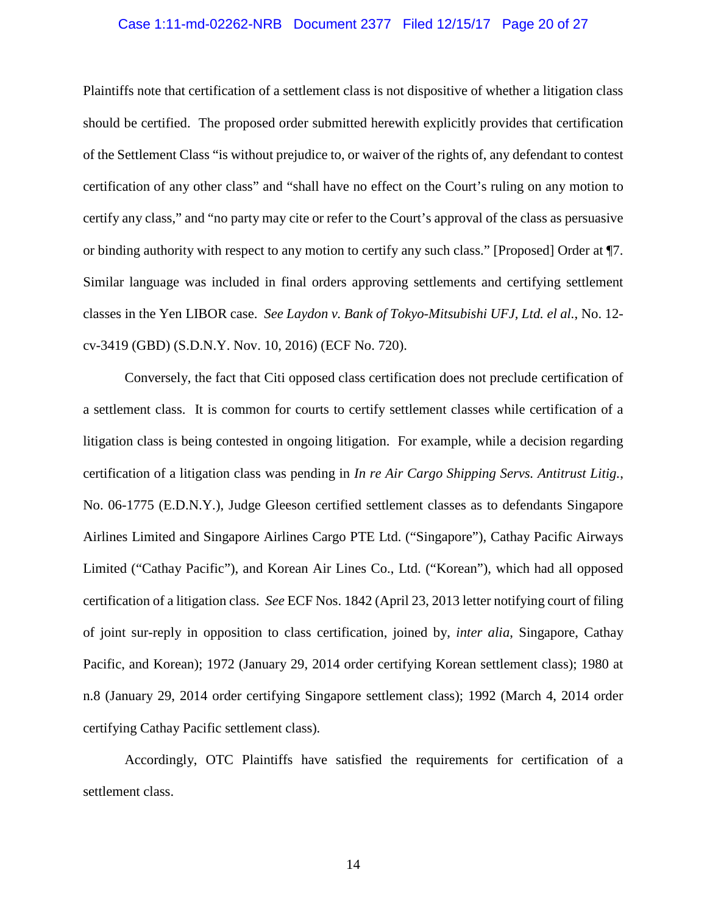#### Case 1:11-md-02262-NRB Document 2377 Filed 12/15/17 Page 20 of 27

Plaintiffs note that certification of a settlement class is not dispositive of whether a litigation class should be certified. The proposed order submitted herewith explicitly provides that certification of the Settlement Class "is without prejudice to, or waiver of the rights of, any defendant to contest certification of any other class" and "shall have no effect on the Court's ruling on any motion to certify any class," and "no party may cite or refer to the Court's approval of the class as persuasive or binding authority with respect to any motion to certify any such class." [Proposed] Order at ¶7. Similar language was included in final orders approving settlements and certifying settlement classes in the Yen LIBOR case. *See Laydon v. Bank of Tokyo-Mitsubishi UFJ, Ltd. el al.*, No. 12 cv-3419 (GBD) (S.D.N.Y. Nov. 10, 2016) (ECF No. 720).

<span id="page-19-0"></span>Conversely, the fact that Citi opposed class certification does not preclude certification of a settlement class. It is common for courts to certify settlement classes while certification of a litigation class is being contested in ongoing litigation. For example, while a decision regarding certification of a litigation class was pending in *In re Air Cargo Shipping Servs. Antitrust Litig.*, No. 06-1775 (E.D.N.Y.), Judge Gleeson certified settlement classes as to defendants Singapore Airlines Limited and Singapore Airlines Cargo PTE Ltd. ("Singapore"), Cathay Pacific Airways Limited ("Cathay Pacific"), and Korean Air Lines Co., Ltd. ("Korean"), which had all opposed certification of a litigation class. *See* ECF Nos. 1842 (April 23, 2013 letter notifying court of filing of joint sur-reply in opposition to class certification, joined by, *inter alia*, Singapore, Cathay Pacific, and Korean); 1972 (January 29, 2014 order certifying Korean settlement class); 1980 at n.8 (January 29, 2014 order certifying Singapore settlement class); 1992 (March 4, 2014 order certifying Cathay Pacific settlement class)*.* 

Accordingly, OTC Plaintiffs have satisfied the requirements for certification of a settlement class.

14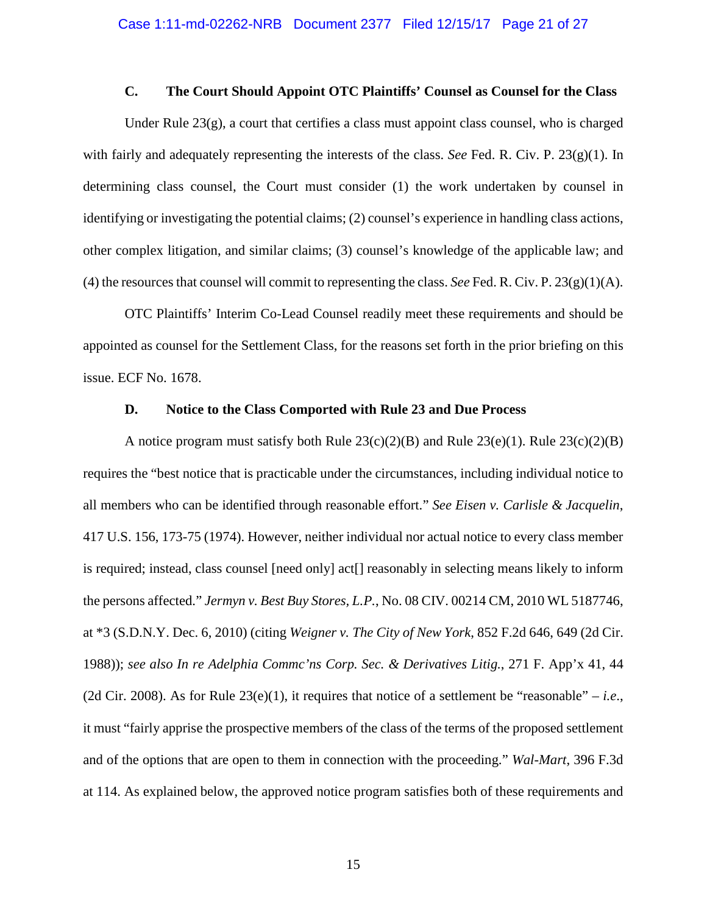## **C. The Court Should Appoint OTC Plaintiffs' Counsel as Counsel for the Class**

<span id="page-20-0"></span>Under Rule 23(g), a court that certifies a class must appoint class counsel, who is charged with fairly and adequately representing the interests of the class. *See* Fed. R. Civ. P. 23(g)(1). In determining class counsel, the Court must consider (1) the work undertaken by counsel in identifying or investigating the potential claims; (2) counsel's experience in handling class actions, other complex litigation, and similar claims; (3) counsel's knowledge of the applicable law; and (4) the resources that counsel will commit to representing the class. *See* Fed. R. Civ. P.  $23(g)(1)(A)$ .

OTC Plaintiffs' Interim Co-Lead Counsel readily meet these requirements and should be appointed as counsel for the Settlement Class, for the reasons set forth in the prior briefing on this issue. ECF No. 1678.

#### <span id="page-20-3"></span>**D. Notice to the Class Comported with Rule 23 and Due Process**

<span id="page-20-4"></span><span id="page-20-2"></span><span id="page-20-1"></span>A notice program must satisfy both Rule  $23(c)(2)(B)$  and Rule  $23(e)(1)$ . Rule  $23(c)(2)(B)$ requires the "best notice that is practicable under the circumstances, including individual notice to all members who can be identified through reasonable effort." *See Eisen v. Carlisle & Jacquelin*, 417 U.S. 156, 173-75 (1974). However, neither individual nor actual notice to every class member is required; instead, class counsel [need only] act[] reasonably in selecting means likely to inform the persons affected." *Jermyn v. Best Buy Stores, L.P.*, No. 08 CIV. 00214 CM, 2010 WL 5187746, at \*3 (S.D.N.Y. Dec. 6, 2010) (citing *Weigner v. The City of New York*, 852 F.2d 646, 649 (2d Cir. 1988)); *see also In re Adelphia Commc'ns Corp. Sec. & Derivatives Litig.*, 271 F. App'x 41, 44 (2d Cir. 2008). As for Rule  $23(e)(1)$ , it requires that notice of a settlement be "reasonable" – *i.e.*, it must "fairly apprise the prospective members of the class of the terms of the proposed settlement and of the options that are open to them in connection with the proceeding." *Wal-Mart*, 396 F.3d at 114. As explained below, the approved notice program satisfies both of these requirements and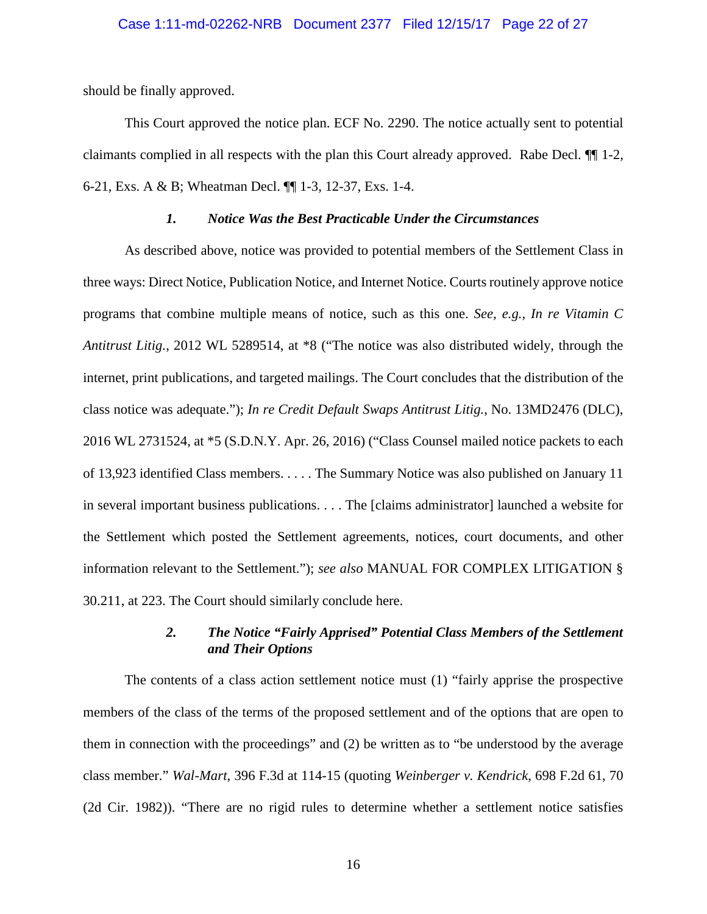#### Case 1:11-md-02262-NRB Document 2377 Filed 12/15/17 Page 22 of 27

should be finally approved.

This Court approved the notice plan. ECF No. 2290. The notice actually sent to potential claimants complied in all respects with the plan this Court already approved. Rabe Decl. ¶¶ 1-2, 6-21, Exs. A & B; Wheatman Decl. ¶¶ 1-3, 12-37, Exs. 1-4.

### <span id="page-21-3"></span><span id="page-21-2"></span>*1. Notice Was the Best Practicable Under the Circumstances*

<span id="page-21-0"></span>As described above, notice was provided to potential members of the Settlement Class in three ways: Direct Notice, Publication Notice, and Internet Notice. Courts routinely approve notice programs that combine multiple means of notice, such as this one. *See, e.g.*, *In re Vitamin C Antitrust Litig.*, 2012 WL 5289514, at \*8 ("The notice was also distributed widely, through the internet, print publications, and targeted mailings. The Court concludes that the distribution of the class notice was adequate."); *In re Credit Default Swaps Antitrust Litig.*, No. 13MD2476 (DLC), 2016 WL 2731524, at \*5 (S.D.N.Y. Apr. 26, 2016) ("Class Counsel mailed notice packets to each of 13,923 identified Class members. . . . . The Summary Notice was also published on January 11 in several important business publications. . . . The [claims administrator] launched a website for the Settlement which posted the Settlement agreements, notices, court documents, and other information relevant to the Settlement."); *see also* MANUAL FOR COMPLEX LITIGATION § 30.211, at 223. The Court should similarly conclude here.

# *2. The Notice "Fairly Apprised" Potential Class Members of the Settlement and Their Options*

<span id="page-21-1"></span>The contents of a class action settlement notice must (1) "fairly apprise the prospective members of the class of the terms of the proposed settlement and of the options that are open to them in connection with the proceedings" and (2) be written as to "be understood by the average class member." *Wal-Mart*, 396 F.3d at 114-15 (quoting *Weinberger v. Kendrick*, 698 F.2d 61, 70 (2d Cir. 1982)). "There are no rigid rules to determine whether a settlement notice satisfies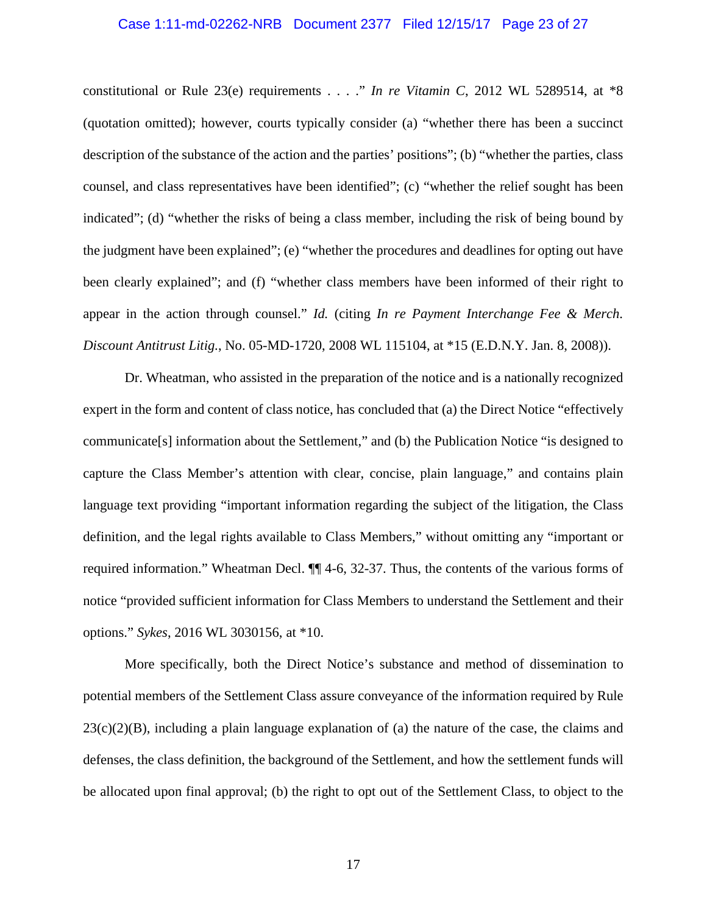#### Case 1:11-md-02262-NRB Document 2377 Filed 12/15/17 Page 23 of 27

constitutional or Rule 23(e) requirements . . . ." *In re Vitamin C*, 2012 WL 5289514, at \*8 (quotation omitted); however, courts typically consider (a) "whether there has been a succinct description of the substance of the action and the parties' positions"; (b) "whether the parties, class counsel, and class representatives have been identified"; (c) "whether the relief sought has been indicated"; (d) "whether the risks of being a class member, including the risk of being bound by the judgment have been explained"; (e) "whether the procedures and deadlines for opting out have been clearly explained"; and (f) "whether class members have been informed of their right to appear in the action through counsel." *Id.* (citing *In re Payment Interchange Fee & Merch. Discount Antitrust Litig.*, No. 05-MD-1720, 2008 WL 115104, at \*15 (E.D.N.Y. Jan. 8, 2008)).

<span id="page-22-0"></span>Dr. Wheatman, who assisted in the preparation of the notice and is a nationally recognized expert in the form and content of class notice, has concluded that (a) the Direct Notice "effectively communicate[s] information about the Settlement," and (b) the Publication Notice "is designed to capture the Class Member's attention with clear, concise, plain language," and contains plain language text providing "important information regarding the subject of the litigation, the Class definition, and the legal rights available to Class Members," without omitting any "important or required information." Wheatman Decl. ¶¶ 4-6, 32-37. Thus, the contents of the various forms of notice "provided sufficient information for Class Members to understand the Settlement and their options." *Sykes*, 2016 WL 3030156, at \*10.

More specifically, both the Direct Notice's substance and method of dissemination to potential members of the Settlement Class assure conveyance of the information required by Rule  $23(c)(2)(B)$ , including a plain language explanation of (a) the nature of the case, the claims and defenses, the class definition, the background of the Settlement, and how the settlement funds will be allocated upon final approval; (b) the right to opt out of the Settlement Class, to object to the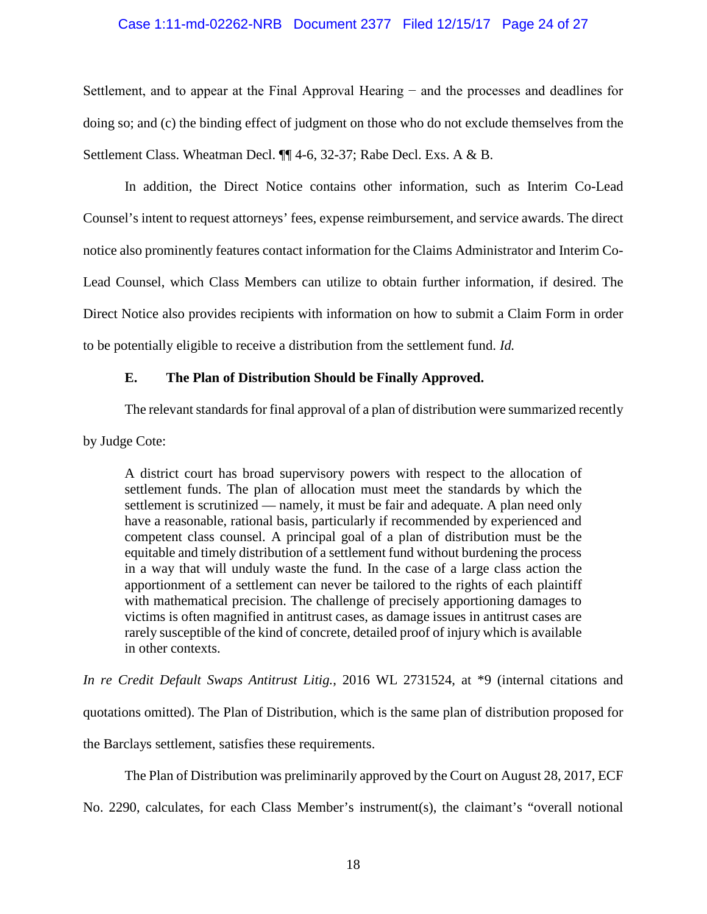### Case 1:11-md-02262-NRB Document 2377 Filed 12/15/17 Page 24 of 27

Settlement, and to appear at the Final Approval Hearing − and the processes and deadlines for doing so; and (c) the binding effect of judgment on those who do not exclude themselves from the Settlement Class. Wheatman Decl. ¶¶ 4-6, 32-37; Rabe Decl. Exs. A & B.

In addition, the Direct Notice contains other information, such as Interim Co-Lead Counsel's intent to request attorneys' fees, expense reimbursement, and service awards. The direct notice also prominently features contact information for the Claims Administrator and Interim Co-Lead Counsel, which Class Members can utilize to obtain further information, if desired. The Direct Notice also provides recipients with information on how to submit a Claim Form in order to be potentially eligible to receive a distribution from the settlement fund. *Id.* 

## <span id="page-23-0"></span>**E. The Plan of Distribution Should be Finally Approved.**

The relevant standards for final approval of a plan of distribution were summarized recently

by Judge Cote:

A district court has broad supervisory powers with respect to the allocation of settlement funds. The plan of allocation must meet the standards by which the settlement is scrutinized — namely, it must be fair and adequate. A plan need only have a reasonable, rational basis, particularly if recommended by experienced and competent class counsel. A principal goal of a plan of distribution must be the equitable and timely distribution of a settlement fund without burdening the process in a way that will unduly waste the fund. In the case of a large class action the apportionment of a settlement can never be tailored to the rights of each plaintiff with mathematical precision. The challenge of precisely apportioning damages to victims is often magnified in antitrust cases, as damage issues in antitrust cases are rarely susceptible of the kind of concrete, detailed proof of injury which is available in other contexts.

<span id="page-23-1"></span>*In re Credit Default Swaps Antitrust Litig.*, 2016 WL 2731524, at \*9 (internal citations and quotations omitted). The Plan of Distribution, which is the same plan of distribution proposed for the Barclays settlement, satisfies these requirements.

The Plan of Distribution was preliminarily approved by the Court on August 28, 2017, ECF

No. 2290, calculates, for each Class Member's instrument(s), the claimant's "overall notional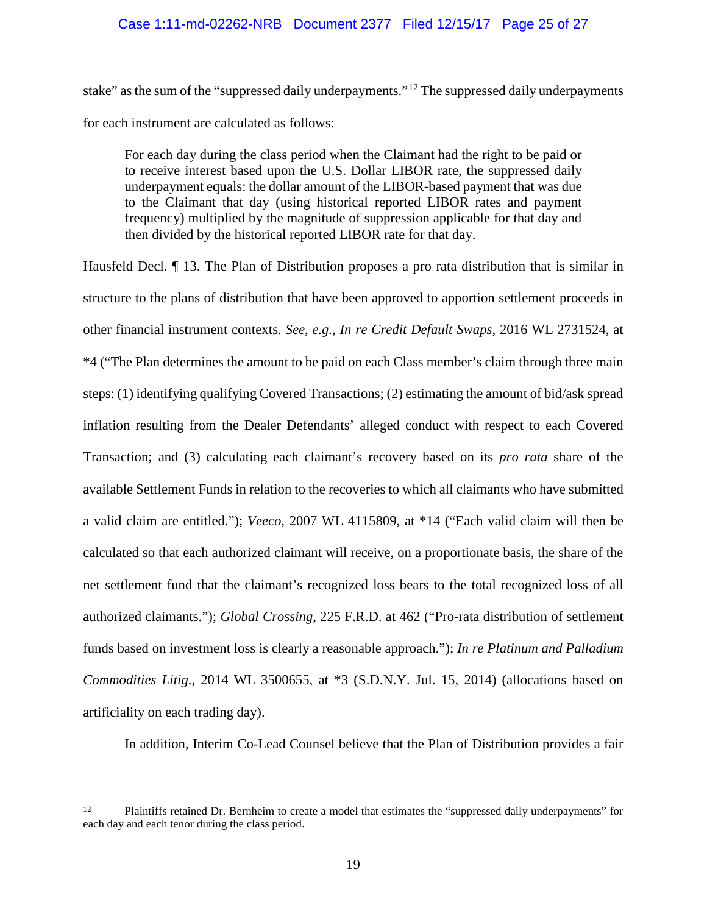# Case 1:11-md-02262-NRB Document 2377 Filed 12/15/17 Page 25 of 27

stake" as the sum of the "suppressed daily underpayments."<sup>[12](#page-24-4)</sup> The suppressed daily underpayments for each instrument are calculated as follows:

For each day during the class period when the Claimant had the right to be paid or to receive interest based upon the U.S. Dollar LIBOR rate, the suppressed daily underpayment equals: the dollar amount of the LIBOR-based payment that was due to the Claimant that day (using historical reported LIBOR rates and payment frequency) multiplied by the magnitude of suppression applicable for that day and then divided by the historical reported LIBOR rate for that day.

<span id="page-24-0"></span>Hausfeld Decl. ¶ 13. The Plan of Distribution proposes a pro rata distribution that is similar in structure to the plans of distribution that have been approved to apportion settlement proceeds in other financial instrument contexts. *See*, *e.g.*, *In re Credit Default Swaps*, 2016 WL 2731524, at \*4 ("The Plan determines the amount to be paid on each Class member's claim through three main steps: (1) identifying qualifying Covered Transactions; (2) estimating the amount of bid/ask spread inflation resulting from the Dealer Defendants' alleged conduct with respect to each Covered Transaction; and (3) calculating each claimant's recovery based on its *pro rata* share of the available Settlement Funds in relation to the recoveries to which all claimants who have submitted a valid claim are entitled."); *Veeco*, 2007 WL 4115809, at \*14 ("Each valid claim will then be calculated so that each authorized claimant will receive, on a proportionate basis, the share of the net settlement fund that the claimant's recognized loss bears to the total recognized loss of all authorized claimants."); *Global Crossing*, 225 F.R.D. at 462 ("Pro-rata distribution of settlement funds based on investment loss is clearly a reasonable approach."); *In re Platinum and Palladium Commodities Litig*., 2014 WL 3500655, at \*3 (S.D.N.Y. Jul. 15, 2014) (allocations based on artificiality on each trading day).

<span id="page-24-3"></span><span id="page-24-2"></span><span id="page-24-1"></span>In addition, Interim Co-Lead Counsel believe that the Plan of Distribution provides a fair

<span id="page-24-4"></span> <sup>12</sup> Plaintiffs retained Dr. Bernheim to create a model that estimates the "suppressed daily underpayments" for each day and each tenor during the class period.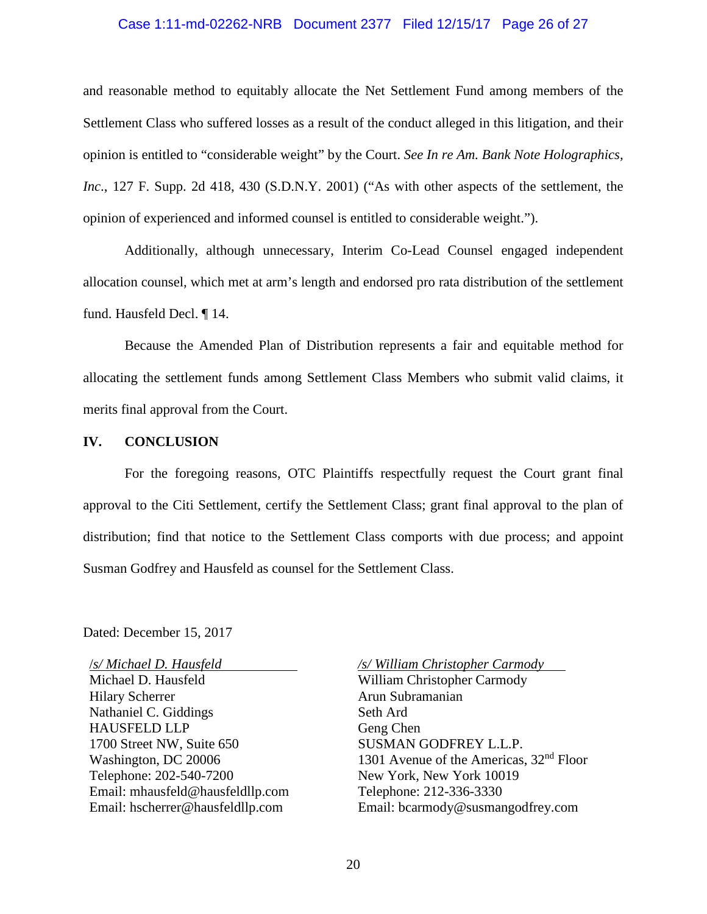#### <span id="page-25-1"></span>Case 1:11-md-02262-NRB Document 2377 Filed 12/15/17 Page 26 of 27

and reasonable method to equitably allocate the Net Settlement Fund among members of the Settlement Class who suffered losses as a result of the conduct alleged in this litigation, and their opinion is entitled to "considerable weight" by the Court. *See In re Am. Bank Note Holographics, Inc*., 127 F. Supp. 2d 418, 430 (S.D.N.Y. 2001) ("As with other aspects of the settlement, the opinion of experienced and informed counsel is entitled to considerable weight.").

Additionally, although unnecessary, Interim Co-Lead Counsel engaged independent allocation counsel, which met at arm's length and endorsed pro rata distribution of the settlement fund. Hausfeld Decl. ¶ 14.

Because the Amended Plan of Distribution represents a fair and equitable method for allocating the settlement funds among Settlement Class Members who submit valid claims, it merits final approval from the Court.

#### <span id="page-25-0"></span>**IV. CONCLUSION**

For the foregoing reasons, OTC Plaintiffs respectfully request the Court grant final approval to the Citi Settlement, certify the Settlement Class; grant final approval to the plan of distribution; find that notice to the Settlement Class comports with due process; and appoint Susman Godfrey and Hausfeld as counsel for the Settlement Class.

Dated: December 15, 2017

/*s/ Michael D. Hausfeld* Michael D. Hausfeld Hilary Scherrer Nathaniel C. Giddings HAUSFELD LLP 1700 Street NW, Suite 650 Washington, DC 20006 Telephone: 202-540-7200 Email: mhausfeld@hausfeldllp.com Email: hscherrer@hausfeldllp.com

*/s/ William Christopher Carmody*

William Christopher Carmody Arun Subramanian Seth Ard Geng Chen SUSMAN GODFREY L.L.P. 1301 Avenue of the Americas, 32<sup>nd</sup> Floor New York, New York 10019 Telephone: 212-336-3330 Email: bcarmody@susmangodfrey.com